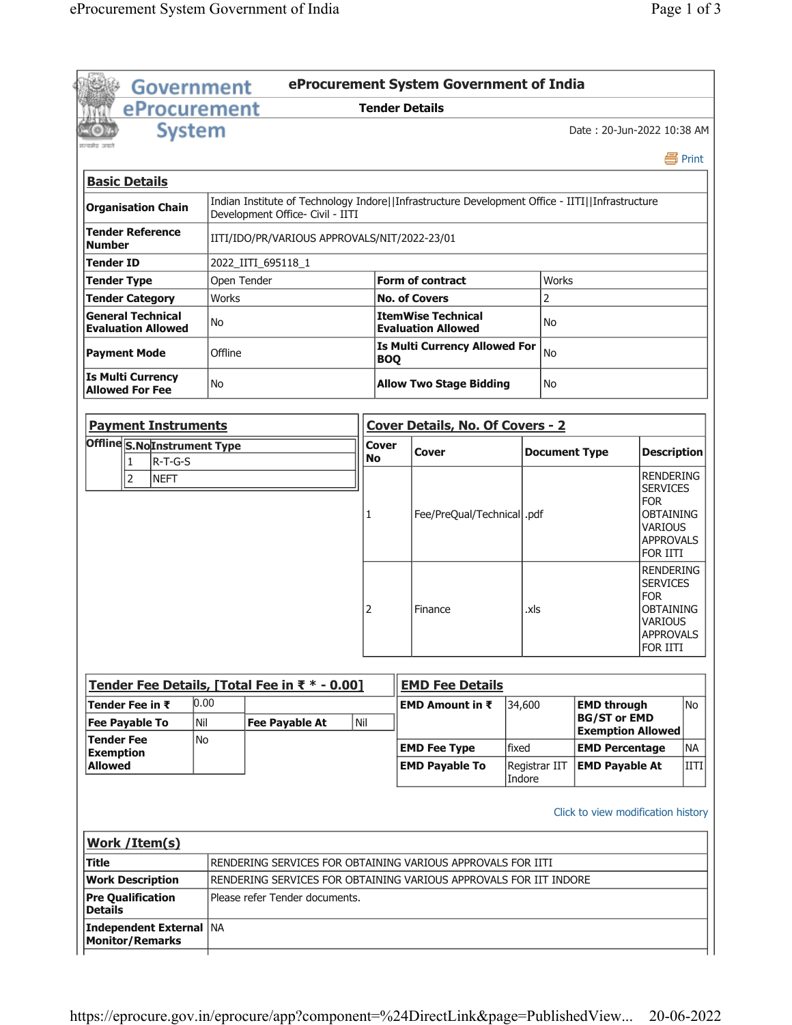| <b>Government</b>                                     |                |                                                                                                                                     |              |            | eProcurement System Government of India                |                         |                      |                                                                       |                                                                                                                         |             |
|-------------------------------------------------------|----------------|-------------------------------------------------------------------------------------------------------------------------------------|--------------|------------|--------------------------------------------------------|-------------------------|----------------------|-----------------------------------------------------------------------|-------------------------------------------------------------------------------------------------------------------------|-------------|
| eProcurement                                          |                |                                                                                                                                     |              |            | <b>Tender Details</b>                                  |                         |                      |                                                                       |                                                                                                                         |             |
| <b>System</b>                                         |                |                                                                                                                                     |              |            |                                                        |                         |                      | Date: 20-Jun-2022 10:38 AM                                            |                                                                                                                         |             |
|                                                       |                |                                                                                                                                     |              |            |                                                        |                         |                      |                                                                       |                                                                                                                         | 昌 Print     |
| <b>Basic Details</b>                                  |                |                                                                                                                                     |              |            |                                                        |                         |                      |                                                                       |                                                                                                                         |             |
| <b>Organisation Chain</b>                             |                | Indian Institute of Technology Indore  Infrastructure Development Office - IITI  Infrastructure<br>Development Office- Civil - IITI |              |            |                                                        |                         |                      |                                                                       |                                                                                                                         |             |
| <b>Tender Reference</b><br><b>Number</b>              |                | IITI/IDO/PR/VARIOUS APPROVALS/NIT/2022-23/01                                                                                        |              |            |                                                        |                         |                      |                                                                       |                                                                                                                         |             |
| <b>Tender ID</b>                                      |                | 2022_IITI_695118_1                                                                                                                  |              |            |                                                        |                         |                      |                                                                       |                                                                                                                         |             |
| <b>Tender Type</b>                                    | Open Tender    |                                                                                                                                     |              |            | <b>Form of contract</b>                                |                         | Works                |                                                                       |                                                                                                                         |             |
| <b>Tender Category</b>                                | <b>Works</b>   |                                                                                                                                     |              |            | <b>No. of Covers</b>                                   |                         | $\overline{2}$       |                                                                       |                                                                                                                         |             |
| <b>General Technical</b><br><b>Evaluation Allowed</b> | No             |                                                                                                                                     |              |            | <b>ItemWise Technical</b><br><b>Evaluation Allowed</b> |                         | No                   |                                                                       |                                                                                                                         |             |
| <b>Payment Mode</b>                                   | Offline        |                                                                                                                                     |              | <b>BOQ</b> | <b>Is Multi Currency Allowed For</b>                   |                         | <b>No</b>            |                                                                       |                                                                                                                         |             |
| <b>Is Multi Currency</b><br><b>Allowed For Fee</b>    | No             |                                                                                                                                     |              |            | <b>Allow Two Stage Bidding</b>                         |                         | No                   |                                                                       |                                                                                                                         |             |
|                                                       |                |                                                                                                                                     |              |            |                                                        |                         |                      |                                                                       |                                                                                                                         |             |
| <b>Payment Instruments</b>                            |                |                                                                                                                                     |              |            | <b>Cover Details, No. Of Covers - 2</b>                |                         |                      |                                                                       |                                                                                                                         |             |
| Offline S.NoInstrument Type                           |                |                                                                                                                                     | <b>Cover</b> |            | <b>Cover</b>                                           |                         | <b>Document Type</b> |                                                                       | <b>Description</b>                                                                                                      |             |
| $R-T-G-S$<br>1<br>$\vert$ 2                           |                |                                                                                                                                     | <b>No</b>    |            |                                                        |                         |                      |                                                                       | <b>RENDERING</b>                                                                                                        |             |
|                                                       |                |                                                                                                                                     | 1            |            | Fee/PreQual/Technical  .pdf                            |                         |                      |                                                                       | <b>SERVICES</b><br><b>FOR</b><br><b>OBTAINING</b><br><b>VARIOUS</b><br><b>APPROVALS</b><br>FOR IITI                     |             |
|                                                       |                |                                                                                                                                     | 2            |            | Finance                                                | .xls                    |                      |                                                                       | <b>RENDERING</b><br><b>SERVICES</b><br><b>FOR</b><br><b>OBTAINING</b><br><b>VARIOUS</b><br><b>APPROVALS</b><br>FOR IITI |             |
|                                                       |                |                                                                                                                                     |              |            |                                                        |                         |                      |                                                                       |                                                                                                                         |             |
| Tender Fee Details, [Total Fee in ₹ * - 0.00]         |                |                                                                                                                                     |              |            | <b>EMD Fee Details</b>                                 |                         |                      |                                                                       |                                                                                                                         |             |
| Tender Fee in ₹<br><b>Fee Payable To</b>              | 0.00<br>Nil    | <b>Fee Payable At</b>                                                                                                               | Nil          |            | EMD Amount in $\bar{x}$                                | 34,600                  |                      | <b>EMD through</b><br><b>BG/ST or EMD</b><br><b>Exemption Allowed</b> |                                                                                                                         | <b>No</b>   |
| <b>Tender Fee</b>                                     | N <sub>o</sub> |                                                                                                                                     |              |            | <b>EMD Fee Type</b>                                    | fixed                   |                      | <b>EMD Percentage</b>                                                 |                                                                                                                         | <b>NA</b>   |
| <b>Exemption</b><br><b>Allowed</b>                    |                |                                                                                                                                     |              |            | <b>EMD Payable To</b>                                  | Registrar IIT<br>Indore |                      | <b>EMD Payable At</b>                                                 |                                                                                                                         | <b>IITI</b> |
|                                                       |                |                                                                                                                                     |              |            |                                                        |                         |                      | Click to view modification history                                    |                                                                                                                         |             |
| Work / Item(s)                                        |                |                                                                                                                                     |              |            |                                                        |                         |                      |                                                                       |                                                                                                                         |             |
| Title                                                 |                | RENDERING SERVICES FOR OBTAINING VARIOUS APPROVALS FOR IITI                                                                         |              |            |                                                        |                         |                      |                                                                       |                                                                                                                         |             |
| <b>Work Description</b>                               |                | RENDERING SERVICES FOR OBTAINING VARIOUS APPROVALS FOR IIT INDORE                                                                   |              |            |                                                        |                         |                      |                                                                       |                                                                                                                         |             |
| <b>Pre Qualification</b><br><b>Details</b>            |                | Please refer Tender documents.                                                                                                      |              |            |                                                        |                         |                      |                                                                       |                                                                                                                         |             |
| Independent External   NA<br><b>Monitor/Remarks</b>   |                |                                                                                                                                     |              |            |                                                        |                         |                      |                                                                       |                                                                                                                         |             |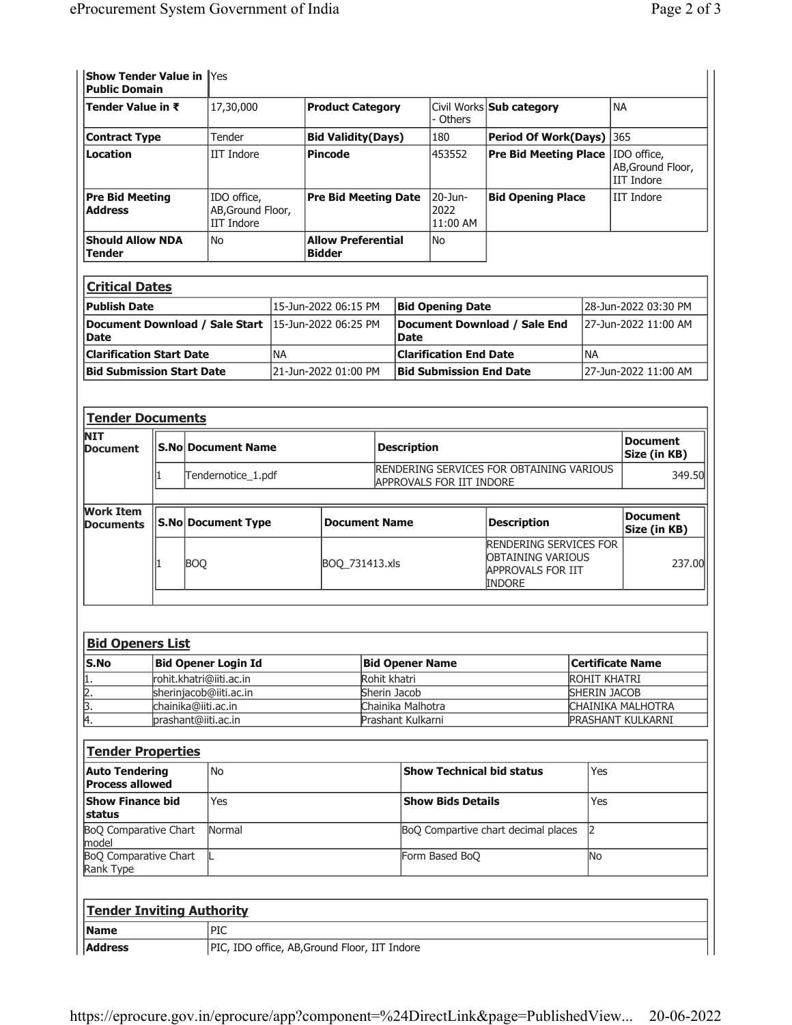Yes

Show Tender Value in

| <b>Public Domain</b>                                  |                                |                                                   |                                                       |                             |                                            |                    |                                                                      |                                                                                          |                                     |                                         |                                                       |  |
|-------------------------------------------------------|--------------------------------|---------------------------------------------------|-------------------------------------------------------|-----------------------------|--------------------------------------------|--------------------|----------------------------------------------------------------------|------------------------------------------------------------------------------------------|-------------------------------------|-----------------------------------------|-------------------------------------------------------|--|
| Tender Value in ₹                                     |                                |                                                   | 17,30,000                                             |                             | <b>Product Category</b>                    |                    |                                                                      | - Others                                                                                 | Civil Works Sub category            |                                         | <b>NA</b>                                             |  |
|                                                       | Tender<br><b>Contract Type</b> |                                                   |                                                       | <b>Bid Validity(Days)</b>   |                                            |                    |                                                                      | 180                                                                                      | <b>Period Of Work(Days)</b>         |                                         | 365                                                   |  |
| Location                                              |                                |                                                   | <b>IIT Indore</b>                                     |                             | <b>Pincode</b>                             |                    |                                                                      | 453552                                                                                   | <b>Pre Bid Meeting Place</b>        |                                         | IDO office,<br>AB, Ground Floor,<br><b>IIT Indore</b> |  |
| <b>Pre Bid Meeting</b><br><b>Address</b>              |                                |                                                   | IDO office,<br>AB, Ground Floor,<br><b>IIT Indore</b> | <b>Pre Bid Meeting Date</b> |                                            |                    | 20-Jun-<br>2022<br>11:00 AM                                          | <b>Bid Opening Place</b>                                                                 |                                     | <b>IIT Indore</b>                       |                                                       |  |
| <b>Should Allow NDA</b><br><b>Tender</b>              |                                |                                                   | No                                                    |                             | <b>Allow Preferential</b><br><b>Bidder</b> |                    |                                                                      | No                                                                                       |                                     |                                         |                                                       |  |
| <b>Critical Dates</b>                                 |                                |                                                   |                                                       |                             |                                            |                    |                                                                      |                                                                                          |                                     |                                         |                                                       |  |
| <b>Publish Date</b>                                   |                                |                                                   |                                                       |                             | 15-Jun-2022 06:15 PM                       |                    |                                                                      | <b>Bid Opening Date</b>                                                                  |                                     |                                         | 28-Jun-2022 03:30 PM                                  |  |
| Document Download / Sale Start<br><b>Date</b>         |                                |                                                   |                                                       |                             | 15-Jun-2022 06:25 PM                       |                    | <b>Date</b>                                                          |                                                                                          | Document Download / Sale End        |                                         | 27-Jun-2022 11:00 AM                                  |  |
| <b>Clarification Start Date</b>                       |                                |                                                   |                                                       | <b>NA</b>                   |                                            |                    |                                                                      | <b>Clarification End Date</b>                                                            |                                     | <b>NA</b>                               |                                                       |  |
| <b>Bid Submission Start Date</b>                      |                                |                                                   |                                                       |                             | 21-Jun-2022 01:00 PM                       |                    |                                                                      | <b>Bid Submission End Date</b>                                                           |                                     |                                         | 27-Jun-2022 11:00 AM                                  |  |
|                                                       |                                |                                                   |                                                       |                             |                                            |                    |                                                                      |                                                                                          |                                     |                                         |                                                       |  |
| <b>Tender Documents</b>                               |                                |                                                   |                                                       |                             |                                            |                    |                                                                      |                                                                                          |                                     |                                         |                                                       |  |
| <b>NIT</b><br>Document                                |                                |                                                   | <b>S.No Document Name</b>                             |                             |                                            | <b>Description</b> |                                                                      |                                                                                          |                                     | <b>Document</b><br>Size (in KB)         |                                                       |  |
|                                                       | 1                              | Tendernotice_1.pdf                                |                                                       |                             |                                            |                    | RENDERING SERVICES FOR OBTAINING VARIOUS<br>APPROVALS FOR IIT INDORE |                                                                                          |                                     |                                         | 349.50                                                |  |
| <b>Work Item</b><br><b>Documents</b>                  |                                | <b>S.No Document Type</b><br><b>Document Name</b> |                                                       |                             |                                            |                    | <b>Description</b>                                                   |                                                                                          |                                     |                                         | <b>Document</b><br>Size (in KB)                       |  |
|                                                       | <b>BOQ</b><br>1                |                                                   |                                                       |                             | BOQ_731413.xls                             |                    |                                                                      | <b>RENDERING SERVICES FOR</b><br>OBTAINING VARIOUS<br>APPROVALS FOR IIT<br><b>INDORE</b> |                                     | 237.00                                  |                                                       |  |
| <b>Bid Openers List</b>                               |                                |                                                   |                                                       |                             |                                            |                    |                                                                      |                                                                                          |                                     |                                         |                                                       |  |
| S.No                                                  |                                |                                                   | <b>Bid Opener Login Id</b>                            |                             |                                            |                    |                                                                      |                                                                                          |                                     |                                         |                                                       |  |
|                                                       |                                |                                                   | rohit.khatri@iiti.ac.in                               |                             |                                            |                    | <b>Bid Opener Name</b><br>Rohit khatri                               |                                                                                          |                                     | <b>Certificate Name</b><br>ROHIT KHATRI |                                                       |  |
| $\frac{1}{2}$ .<br>$\frac{2}{3}$ .<br>$\frac{3}{4}$ . |                                |                                                   | sherinjacob@iiti.ac.in                                |                             |                                            |                    | Sherin Jacob                                                         |                                                                                          |                                     |                                         | <b>SHERIN JACOB</b>                                   |  |
|                                                       |                                |                                                   | chainika@iiti.ac.in                                   |                             |                                            |                    | Chainika Malhotra                                                    |                                                                                          |                                     |                                         | CHAINIKA MALHOTRA                                     |  |
|                                                       |                                |                                                   | prashant@iiti.ac.in                                   |                             |                                            |                    | Prashant Kulkarni                                                    |                                                                                          |                                     |                                         | PRASHANT KULKARNI                                     |  |
| <b>Tender Properties</b>                              |                                |                                                   |                                                       |                             |                                            |                    |                                                                      |                                                                                          |                                     |                                         |                                                       |  |
| <b>Auto Tendering</b><br><b>Process allowed</b>       |                                |                                                   | No                                                    |                             |                                            |                    |                                                                      |                                                                                          | <b>Show Technical bid status</b>    | Yes                                     |                                                       |  |
| <b>Show Finance bid</b><br>status                     |                                |                                                   | Yes                                                   |                             |                                            |                    |                                                                      | <b>Show Bids Details</b>                                                                 |                                     | Yes                                     |                                                       |  |
| <b>BoQ Comparative Chart</b><br>model                 |                                |                                                   | Normal                                                |                             |                                            |                    |                                                                      |                                                                                          | BoQ Compartive chart decimal places | 2                                       |                                                       |  |
| <b>BoQ Comparative Chart</b><br>Rank Type             |                                |                                                   | L                                                     |                             |                                            |                    |                                                                      | Form Based BoQ                                                                           |                                     | No                                      |                                                       |  |
|                                                       |                                |                                                   |                                                       |                             |                                            |                    |                                                                      |                                                                                          |                                     |                                         |                                                       |  |

| <b>Tender Inviting Authority</b> |                                               |  |  |  |  |  |
|----------------------------------|-----------------------------------------------|--|--|--|--|--|
| Name                             | PIC <sup></sup>                               |  |  |  |  |  |
| <b>Address</b>                   | PIC, IDO office, AB, Ground Floor, IIT Indore |  |  |  |  |  |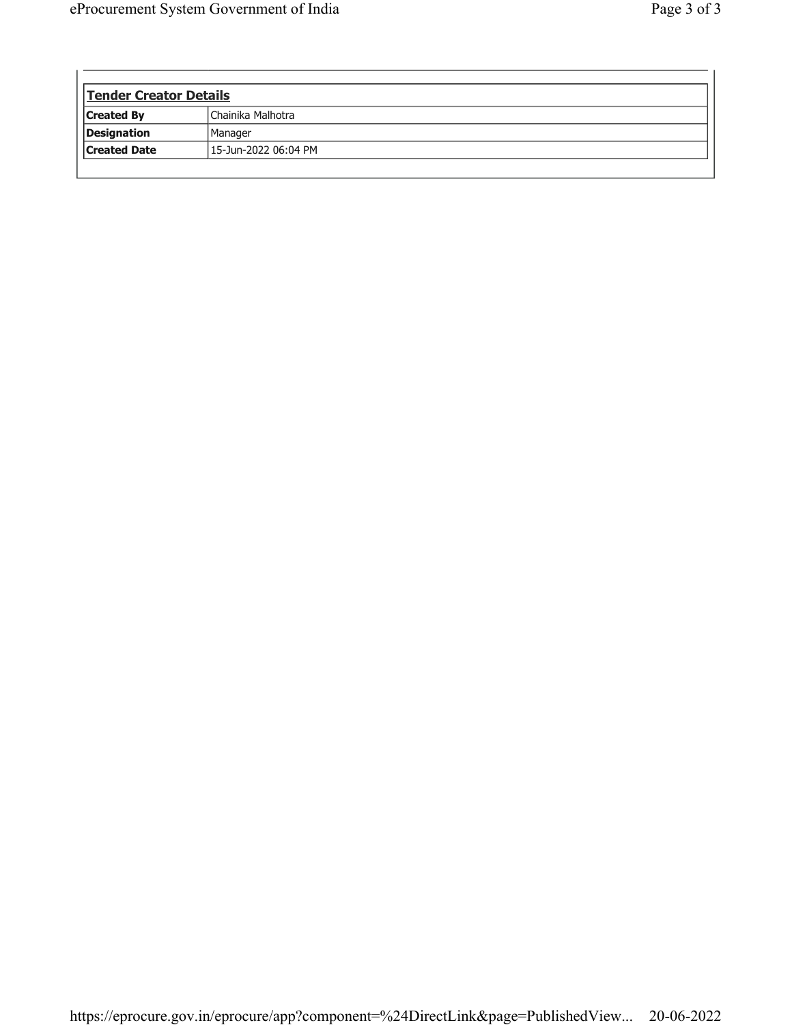$\mathbf{r}$ 

| Tender Creator Details |                      |  |  |  |  |
|------------------------|----------------------|--|--|--|--|
| <b>Created By</b>      | Chainika Malhotra    |  |  |  |  |
| Designation            | Manager              |  |  |  |  |
| <b>Created Date</b>    | 15-Jun-2022 06:04 PM |  |  |  |  |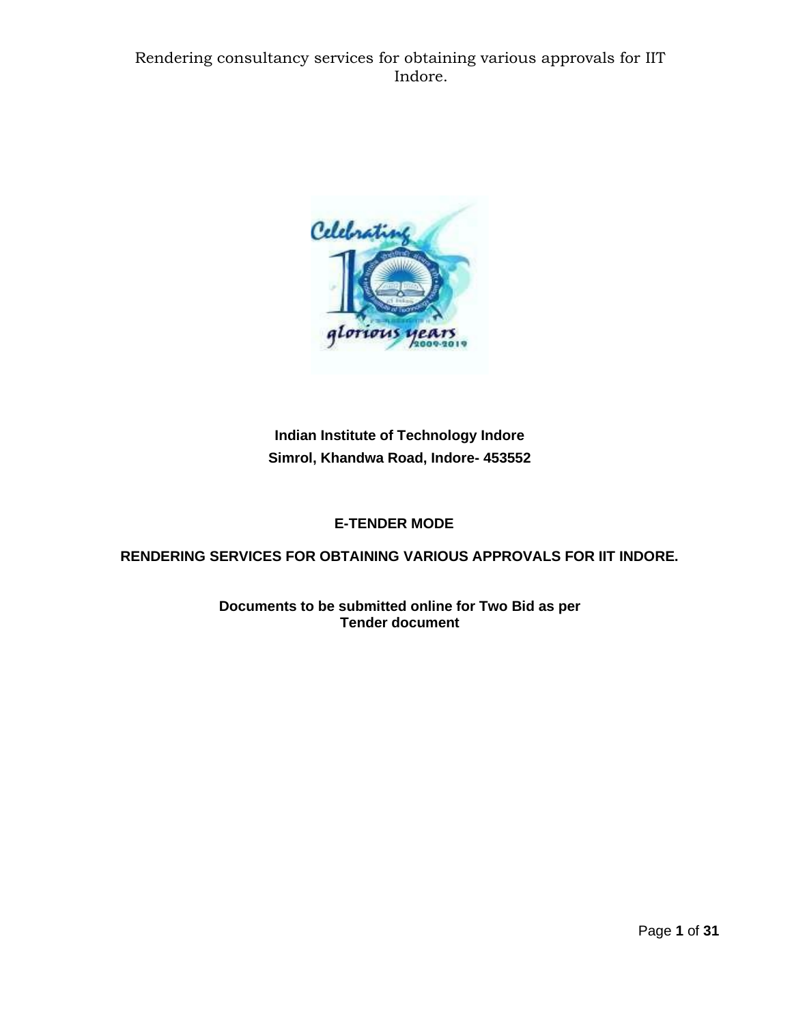

**Indian Institute of Technology Indore Simrol, Khandwa Road, Indore- 453552**

# **E-TENDER MODE**

**RENDERING SERVICES FOR OBTAINING VARIOUS APPROVALS FOR IIT INDORE.**

**Documents to be submitted online for Two Bid as per Tender document**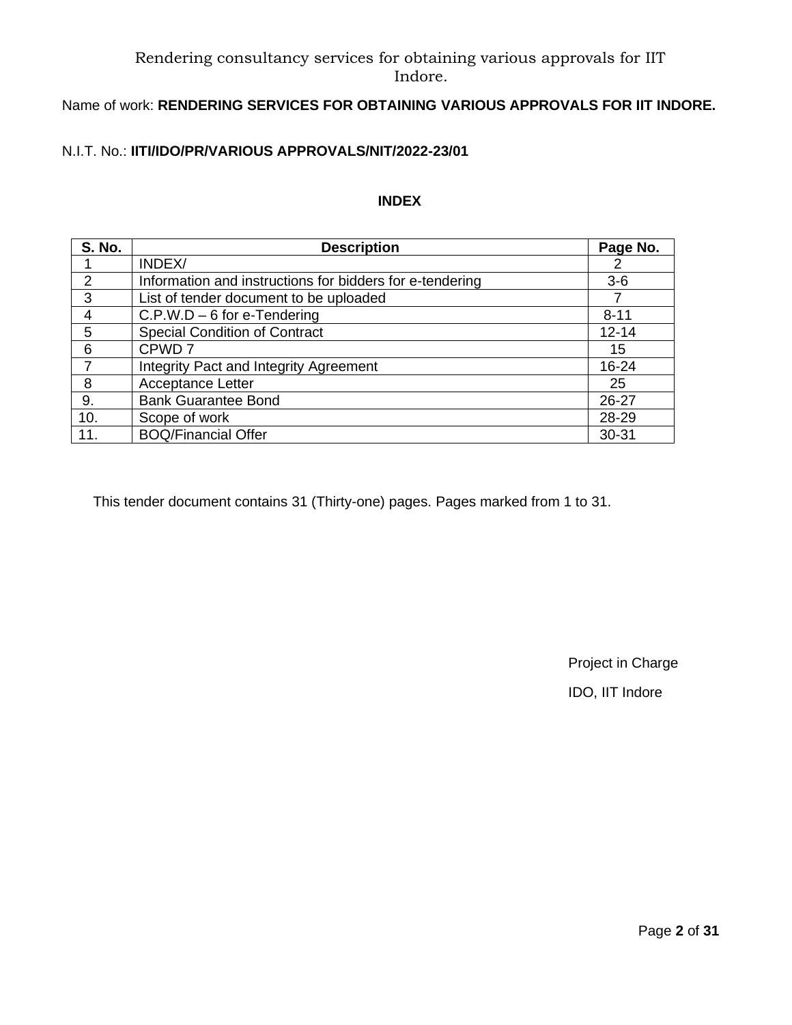# Name of work: **RENDERING SERVICES FOR OBTAINING VARIOUS APPROVALS FOR IIT INDORE.**

# N.I.T. No.: **IITI/IDO/PR/VARIOUS APPROVALS/NIT/2022-23/01**

## **INDEX**

| <b>S. No.</b> | <b>Description</b>                                       | Page No.  |
|---------------|----------------------------------------------------------|-----------|
|               | INDEX/                                                   |           |
| 2             | Information and instructions for bidders for e-tendering | $3-6$     |
| 3             | List of tender document to be uploaded                   |           |
| 4             | $C.P.W.D - 6$ for e-Tendering                            | $8 - 11$  |
| 5             | <b>Special Condition of Contract</b>                     | $12 - 14$ |
| 6             | CPWD <sub>7</sub>                                        | 15        |
|               | <b>Integrity Pact and Integrity Agreement</b>            | 16-24     |
| 8             | <b>Acceptance Letter</b>                                 | 25        |
| 9.            | <b>Bank Guarantee Bond</b>                               | 26-27     |
| 10.           | Scope of work                                            | 28-29     |
| 11.           | <b>BOQ/Financial Offer</b>                               | 30-31     |

This tender document contains 31 (Thirty-one) pages. Pages marked from 1 to 31.

Project in Charge

IDO, IIT Indore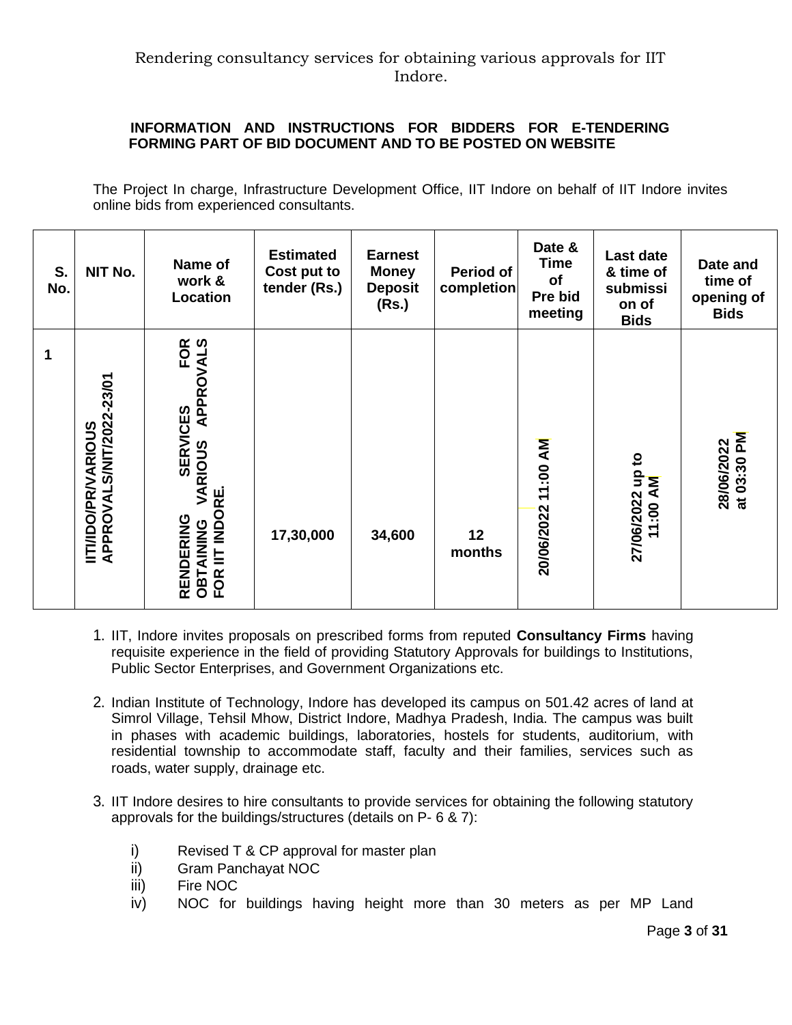## **INFORMATION AND INSTRUCTIONS FOR BIDDERS FOR E-TENDERING FORMING PART OF BID DOCUMENT AND TO BE POSTED ON WEBSITE**

The Project In charge, Infrastructure Development Office, IIT Indore on behalf of IIT Indore invites online bids from experienced consultants.

| S.<br>No. | NIT No.                                                | Name of<br>work &<br>Location                                                                     | <b>Estimated</b><br>Cost put to<br>tender (Rs.) | <b>Earnest</b><br><b>Money</b><br><b>Deposit</b><br>(Rs.) | Period of<br>completion | Date &<br><b>Time</b><br>of<br>Pre bid<br>meeting | Last date<br>& time of<br>submissi<br>on of<br><b>Bids</b> | Date and<br>time of<br>opening of<br><b>Bids</b> |
|-----------|--------------------------------------------------------|---------------------------------------------------------------------------------------------------|-------------------------------------------------|-----------------------------------------------------------|-------------------------|---------------------------------------------------|------------------------------------------------------------|--------------------------------------------------|
| 1         | APPROVALS/NIT/2022-23/01<br><b>IITI/IDO/PR/VARIOUS</b> | CES FOR<br>APPROVALS<br><b>SERVICES</b><br>VARIOUS<br>OBTAINING VA<br>FOR IIT INDORE<br>RENDERING | 17,30,000                                       | 34,600                                                    | 12<br>months            | 11:00 AM<br>20/06/2022                            | S,<br>27/06/2022 up t<br>11:00 AM                          | at 03:30 PM<br>28/06/2022                        |

- 1. IIT, Indore invites proposals on prescribed forms from reputed **Consultancy Firms** having requisite experience in the field of providing Statutory Approvals for buildings to Institutions, Public Sector Enterprises, and Government Organizations etc.
- 2. Indian Institute of Technology, Indore has developed its campus on 501.42 acres of land at Simrol Village, Tehsil Mhow, District Indore, Madhya Pradesh, India. The campus was built in phases with academic buildings, laboratories, hostels for students, auditorium, with residential township to accommodate staff, faculty and their families, services such as roads, water supply, drainage etc.
- 3. IIT Indore desires to hire consultants to provide services for obtaining the following statutory approvals for the buildings/structures (details on P- 6 & 7):
	- i) Revised T & CP approval for master plan
	- ii) Gram Panchayat NOC
	- iii) Fire NOC
	- iv) NOC for buildings having height more than 30 meters as per MP Land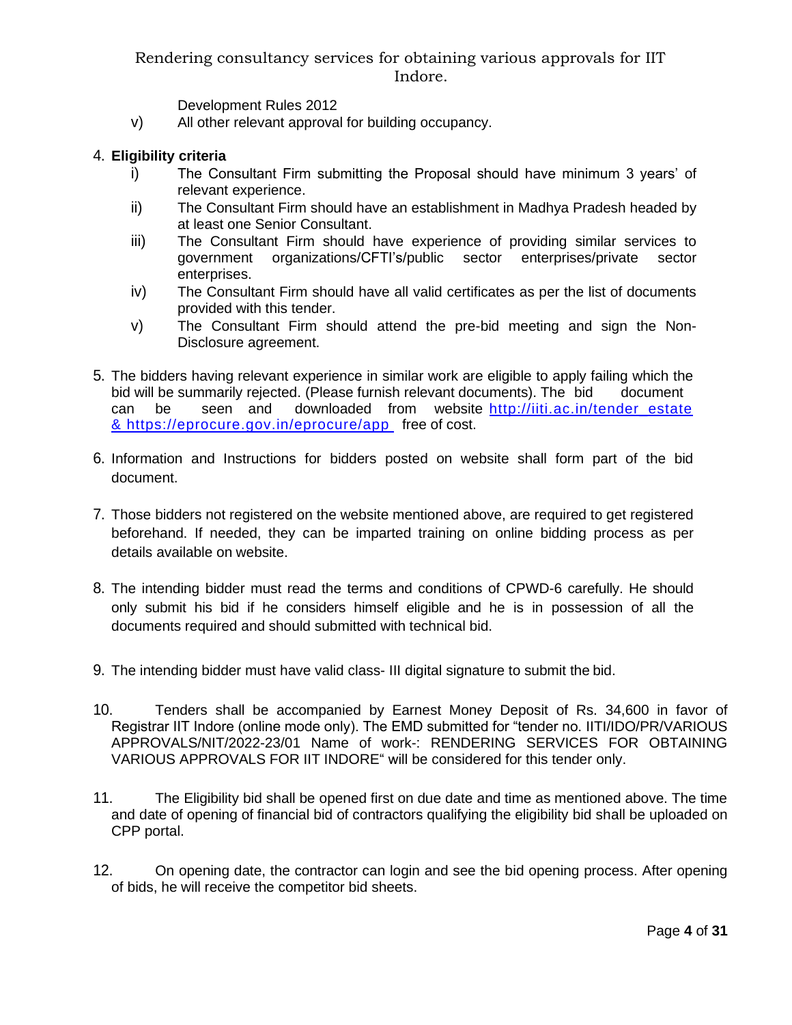Development Rules 2012

v) All other relevant approval for building occupancy.

#### 4. **Eligibility criteria**

- i) The Consultant Firm submitting the Proposal should have minimum 3 years' of relevant experience.
- ii) The Consultant Firm should have an establishment in Madhya Pradesh headed by at least one Senior Consultant.
- iii) The Consultant Firm should have experience of providing similar services to government organizations/CFTI's/public sector enterprises/private sector enterprises.
- iv) The Consultant Firm should have all valid certificates as per the list of documents provided with this tender.
- v) The Consultant Firm should attend the pre-bid meeting and sign the Non-Disclosure agreement.
- 5. The bidders having relevant experience in similar work are eligible to apply failing which the bid will be summarily rejected. (Please furnish relevant documents). The bid document can be seen and downloaded from website http://iiti.ac.in/tender\_estate [& https://eprocure.gov.in/eprocure/app](http://iiti.ac.in/tender_estate%20&%20https:/eprocure.gov.in/eprocure/app) free of cost.
- 6. Information and Instructions for bidders posted on website shall form part of the bid document.
- 7. Those bidders not registered on the website mentioned above, are required to get registered beforehand. If needed, they can be imparted training on online bidding process as per details available on website.
- 8. The intending bidder must read the terms and conditions of CPWD-6 carefully. He should only submit his bid if he considers himself eligible and he is in possession of all the documents required and should submitted with technical bid.
- 9. The intending bidder must have valid class- III digital signature to submit the bid.
- 10. Tenders shall be accompanied by Earnest Money Deposit of Rs. 34,600 in favor of Registrar IIT Indore (online mode only). The EMD submitted for "tender no. IITI/IDO/PR/VARIOUS APPROVALS/NIT/2022-23/01 Name of work-: RENDERING SERVICES FOR OBTAINING VARIOUS APPROVALS FOR IIT INDORE" will be considered for this tender only.
- 11. The Eligibility bid shall be opened first on due date and time as mentioned above. The time and date of opening of financial bid of contractors qualifying the eligibility bid shall be uploaded on CPP portal.
- 12. On opening date, the contractor can login and see the bid opening process. After opening of bids, he will receive the competitor bid sheets.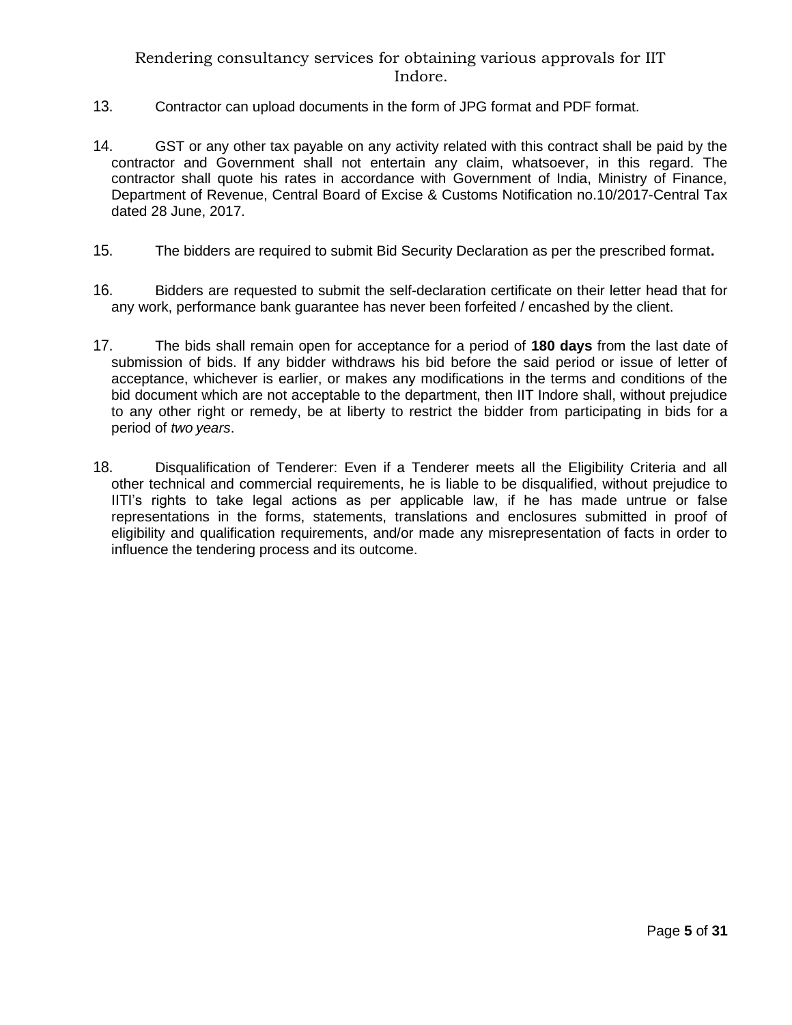- 13. Contractor can upload documents in the form of JPG format and PDF format.
- 14. GST or any other tax payable on any activity related with this contract shall be paid by the contractor and Government shall not entertain any claim, whatsoever, in this regard. The contractor shall quote his rates in accordance with Government of India, Ministry of Finance, Department of Revenue, Central Board of Excise & Customs Notification no.10/2017-Central Tax dated 28 June, 2017.
- 15. The bidders are required to submit Bid Security Declaration as per the prescribed format**.**
- 16. Bidders are requested to submit the self-declaration certificate on their letter head that for any work, performance bank guarantee has never been forfeited / encashed by the client.
- 17. The bids shall remain open for acceptance for a period of **180 days** from the last date of submission of bids. If any bidder withdraws his bid before the said period or issue of letter of acceptance, whichever is earlier, or makes any modifications in the terms and conditions of the bid document which are not acceptable to the department, then IIT Indore shall, without prejudice to any other right or remedy, be at liberty to restrict the bidder from participating in bids for a period of *two years*.
- 18. Disqualification of Tenderer: Even if a Tenderer meets all the Eligibility Criteria and all other technical and commercial requirements, he is liable to be disqualified, without prejudice to IITI's rights to take legal actions as per applicable law, if he has made untrue or false representations in the forms, statements, translations and enclosures submitted in proof of eligibility and qualification requirements, and/or made any misrepresentation of facts in order to influence the tendering process and its outcome.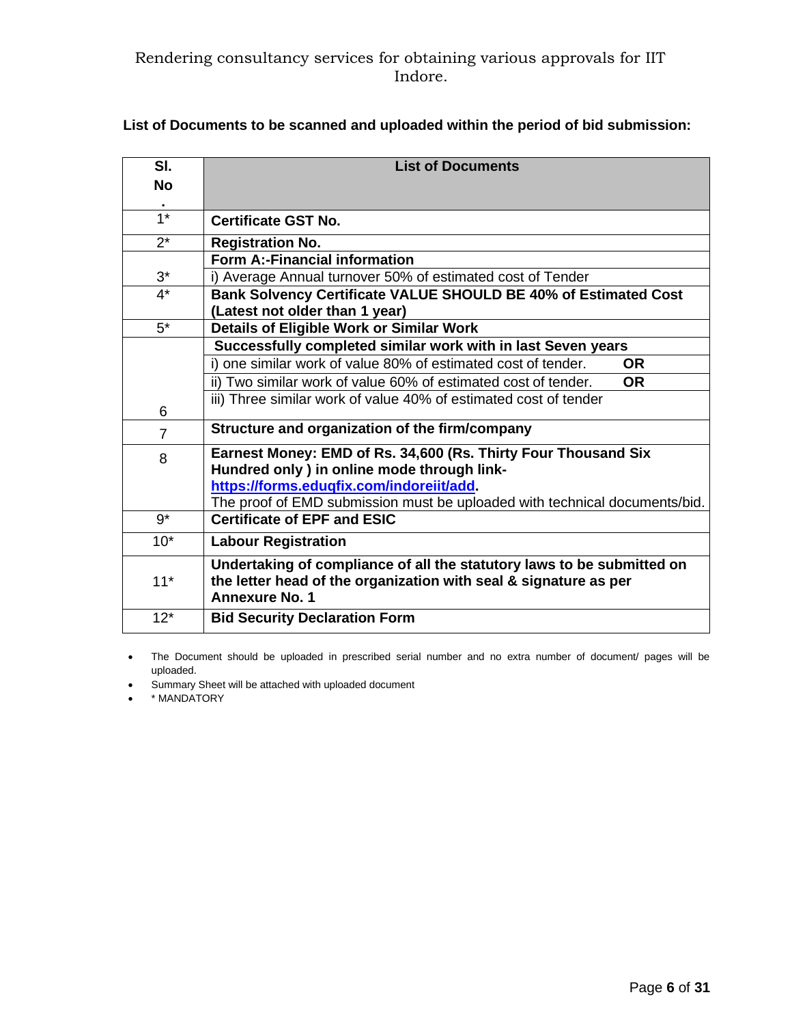| SI.            | <b>List of Documents</b>                                                    |  |  |  |  |  |  |
|----------------|-----------------------------------------------------------------------------|--|--|--|--|--|--|
| <b>No</b>      |                                                                             |  |  |  |  |  |  |
|                |                                                                             |  |  |  |  |  |  |
| $1*$           | <b>Certificate GST No.</b>                                                  |  |  |  |  |  |  |
| $2^*$          | <b>Registration No.</b>                                                     |  |  |  |  |  |  |
|                | Form A:-Financial information                                               |  |  |  |  |  |  |
| $3^*$          | i) Average Annual turnover 50% of estimated cost of Tender                  |  |  |  |  |  |  |
| $4^*$          | Bank Solvency Certificate VALUE SHOULD BE 40% of Estimated Cost             |  |  |  |  |  |  |
|                | (Latest not older than 1 year)                                              |  |  |  |  |  |  |
| $5^*$          | Details of Eligible Work or Similar Work                                    |  |  |  |  |  |  |
|                | Successfully completed similar work with in last Seven years                |  |  |  |  |  |  |
|                | i) one similar work of value 80% of estimated cost of tender.<br><b>OR</b>  |  |  |  |  |  |  |
|                | ii) Two similar work of value 60% of estimated cost of tender.<br><b>OR</b> |  |  |  |  |  |  |
| 6              | iii) Three similar work of value 40% of estimated cost of tender            |  |  |  |  |  |  |
| $\overline{7}$ | Structure and organization of the firm/company                              |  |  |  |  |  |  |
| 8              | Earnest Money: EMD of Rs. 34,600 (Rs. Thirty Four Thousand Six              |  |  |  |  |  |  |
|                | Hundred only ) in online mode through link-                                 |  |  |  |  |  |  |
|                | https://forms.eduqfix.com/indoreiit/add.                                    |  |  |  |  |  |  |
|                | The proof of EMD submission must be uploaded with technical documents/bid.  |  |  |  |  |  |  |
| $9*$           | Certificate of EPF and ESIC                                                 |  |  |  |  |  |  |
| $10*$          | <b>Labour Registration</b>                                                  |  |  |  |  |  |  |
|                | Undertaking of compliance of all the statutory laws to be submitted on      |  |  |  |  |  |  |
| $11*$          | the letter head of the organization with seal & signature as per            |  |  |  |  |  |  |
|                | <b>Annexure No. 1</b>                                                       |  |  |  |  |  |  |
| $12*$          | <b>Bid Security Declaration Form</b>                                        |  |  |  |  |  |  |

# **List of Documents to be scanned and uploaded within the period of bid submission:**

• The Document should be uploaded in prescribed serial number and no extra number of document/ pages will be uploaded.

Summary Sheet will be attached with uploaded document

• \* MANDATORY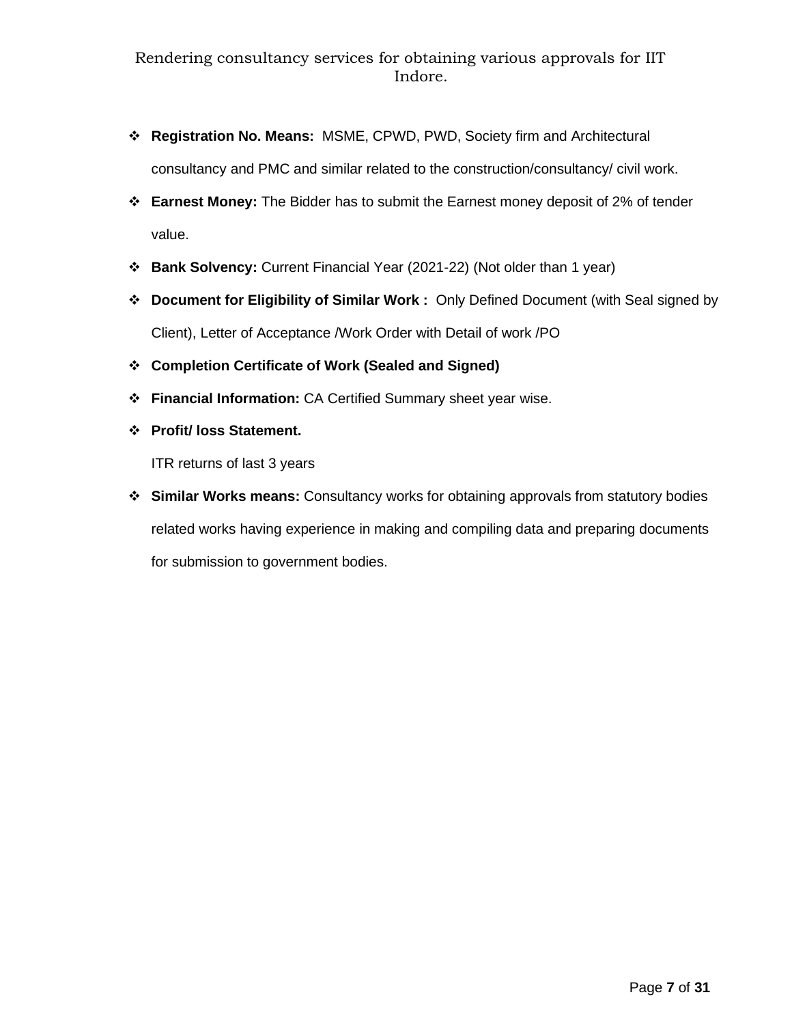- ❖ **Registration No. Means:** MSME, CPWD, PWD, Society firm and Architectural consultancy and PMC and similar related to the construction/consultancy/ civil work.
- ❖ **Earnest Money:** The Bidder has to submit the Earnest money deposit of 2% of tender value.
- ❖ **Bank Solvency:** Current Financial Year (2021-22) (Not older than 1 year)
- ❖ **Document for Eligibility of Similar Work :** Only Defined Document (with Seal signed by Client), Letter of Acceptance /Work Order with Detail of work /PO
- ❖ **Completion Certificate of Work (Sealed and Signed)**
- ❖ **Financial Information:** CA Certified Summary sheet year wise.
- ❖ **Profit/ loss Statement.**

ITR returns of last 3 years

❖ **Similar Works means:** Consultancy works for obtaining approvals from statutory bodies related works having experience in making and compiling data and preparing documents for submission to government bodies.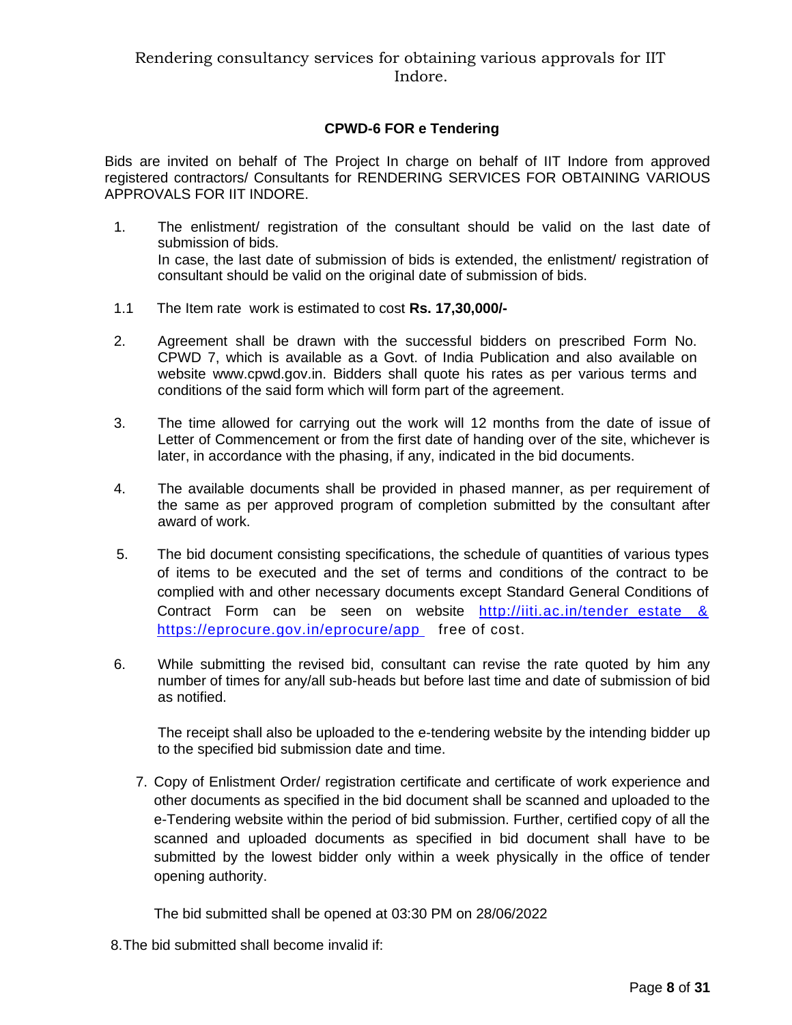## **CPWD-6 FOR e Tendering**

Bids are invited on behalf of The Project In charge on behalf of IIT Indore from approved registered contractors/ Consultants for RENDERING SERVICES FOR OBTAINING VARIOUS APPROVALS FOR IIT INDORE.

- 1. The enlistment/ registration of the consultant should be valid on the last date of submission of bids. In case, the last date of submission of bids is extended, the enlistment/ registration of consultant should be valid on the original date of submission of bids.
- 1.1 The Item rate work is estimated to cost **Rs. 17,30,000/-**
- 2. Agreement shall be drawn with the successful bidders on prescribed Form No. CPWD 7, which is available as a Govt. of India Publication and also available on website www.cpwd.gov.in. Bidders shall quote his rates as per various terms and conditions of the said form which will form part of the agreement.
- 3. The time allowed for carrying out the work will 12 months from the date of issue of Letter of Commencement or from the first date of handing over of the site, whichever is later, in accordance with the phasing, if any, indicated in the bid documents.
- 4. The available documents shall be provided in phased manner, as per requirement of the same as per approved program of completion submitted by the consultant after award of work.
- 5. The bid document consisting specifications, the schedule of quantities of various types of items to be executed and the set of terms and conditions of the contract to be complied with and other necessary documents except Standard General Conditions of Contract Form can be seen on website http://iiti.ac.in/tender estate & [https://eprocure.gov.in/eprocure/app](http://iiti.ac.in/tender_estate%20&%20https:/eprocure.gov.in/eprocure/app)free of cost.
- 6. While submitting the revised bid, consultant can revise the rate quoted by him any number of times for any/all sub-heads but before last time and date of submission of bid as notified.

The receipt shall also be uploaded to the e-tendering website by the intending bidder up to the specified bid submission date and time.

7. Copy of Enlistment Order/ registration certificate and certificate of work experience and other documents as specified in the bid document shall be scanned and uploaded to the e-Tendering website within the period of bid submission. Further, certified copy of all the scanned and uploaded documents as specified in bid document shall have to be submitted by the lowest bidder only within a week physically in the office of tender opening authority.

The bid submitted shall be opened at 03:30 PM on 28/06/2022

8.The bid submitted shall become invalid if: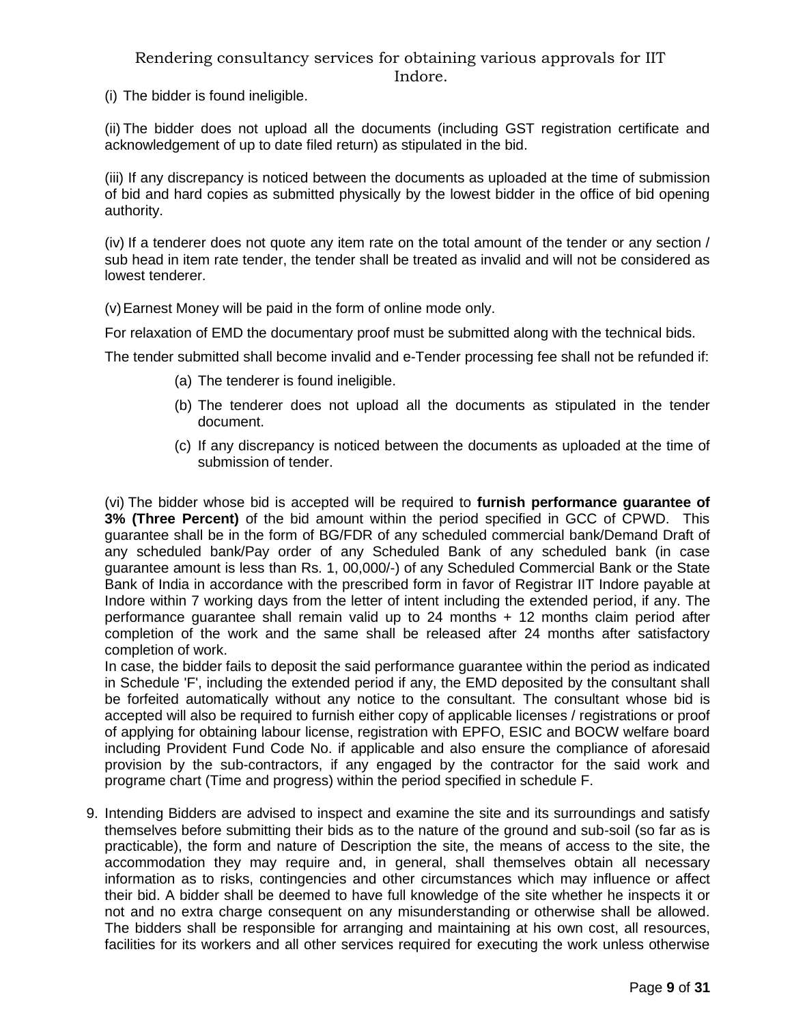(i) The bidder is found ineligible.

(ii) The bidder does not upload all the documents (including GST registration certificate and acknowledgement of up to date filed return) as stipulated in the bid.

(iii) If any discrepancy is noticed between the documents as uploaded at the time of submission of bid and hard copies as submitted physically by the lowest bidder in the office of bid opening authority.

(iv) If a tenderer does not quote any item rate on the total amount of the tender or any section / sub head in item rate tender, the tender shall be treated as invalid and will not be considered as lowest tenderer.

(v)Earnest Money will be paid in the form of online mode only.

For relaxation of EMD the documentary proof must be submitted along with the technical bids.

The tender submitted shall become invalid and e-Tender processing fee shall not be refunded if:

- (a) The tenderer is found ineligible.
- (b) The tenderer does not upload all the documents as stipulated in the tender document.
- (c) If any discrepancy is noticed between the documents as uploaded at the time of submission of tender.

(vi) The bidder whose bid is accepted will be required to **furnish performance guarantee of 3% (Three Percent)** of the bid amount within the period specified in GCC of CPWD. This guarantee shall be in the form of BG/FDR of any scheduled commercial bank/Demand Draft of any scheduled bank/Pay order of any Scheduled Bank of any scheduled bank (in case guarantee amount is less than Rs. 1, 00,000/-) of any Scheduled Commercial Bank or the State Bank of India in accordance with the prescribed form in favor of Registrar IIT Indore payable at Indore within 7 working days from the letter of intent including the extended period, if any. The performance quarantee shall remain valid up to  $24$  months  $+ 12$  months claim period after completion of the work and the same shall be released after 24 months after satisfactory completion of work.

In case, the bidder fails to deposit the said performance guarantee within the period as indicated in Schedule 'F', including the extended period if any, the EMD deposited by the consultant shall be forfeited automatically without any notice to the consultant. The consultant whose bid is accepted will also be required to furnish either copy of applicable licenses / registrations or proof of applying for obtaining labour license, registration with EPFO, ESIC and BOCW welfare board including Provident Fund Code No. if applicable and also ensure the compliance of aforesaid provision by the sub-contractors, if any engaged by the contractor for the said work and programe chart (Time and progress) within the period specified in schedule F.

9. Intending Bidders are advised to inspect and examine the site and its surroundings and satisfy themselves before submitting their bids as to the nature of the ground and sub-soil (so far as is practicable), the form and nature of Description the site, the means of access to the site, the accommodation they may require and, in general, shall themselves obtain all necessary information as to risks, contingencies and other circumstances which may influence or affect their bid. A bidder shall be deemed to have full knowledge of the site whether he inspects it or not and no extra charge consequent on any misunderstanding or otherwise shall be allowed. The bidders shall be responsible for arranging and maintaining at his own cost, all resources, facilities for its workers and all other services required for executing the work unless otherwise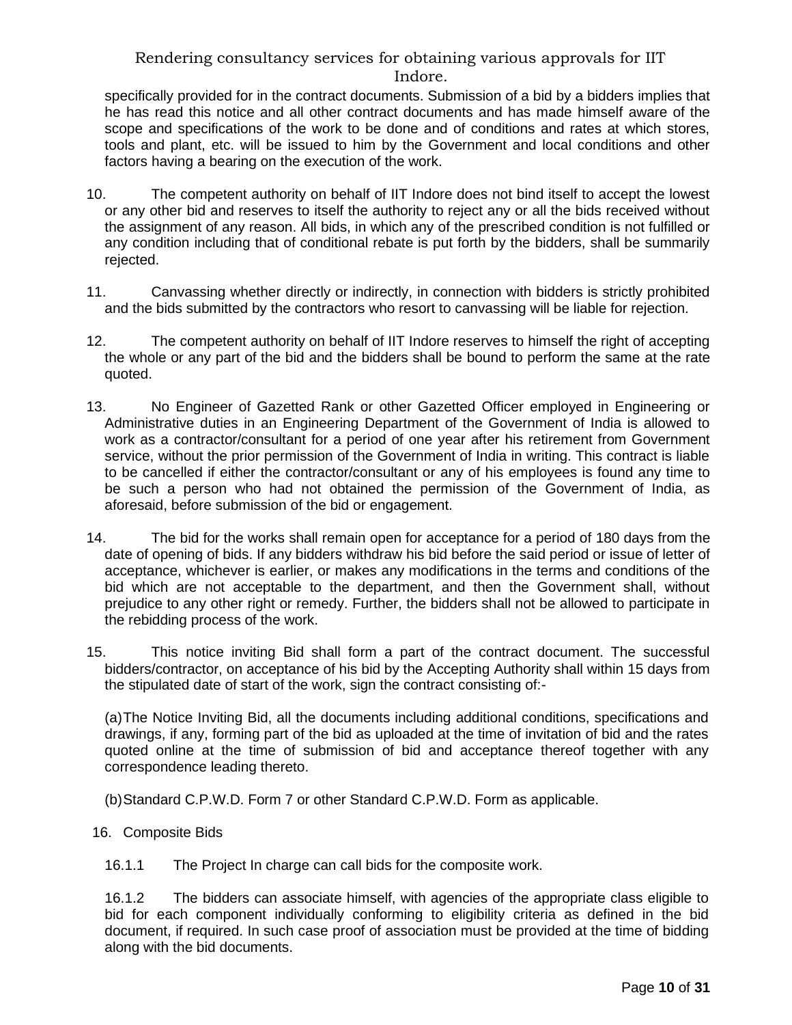specifically provided for in the contract documents. Submission of a bid by a bidders implies that he has read this notice and all other contract documents and has made himself aware of the scope and specifications of the work to be done and of conditions and rates at which stores, tools and plant, etc. will be issued to him by the Government and local conditions and other factors having a bearing on the execution of the work.

- 10. The competent authority on behalf of IIT Indore does not bind itself to accept the lowest or any other bid and reserves to itself the authority to reject any or all the bids received without the assignment of any reason. All bids, in which any of the prescribed condition is not fulfilled or any condition including that of conditional rebate is put forth by the bidders, shall be summarily rejected.
- 11. Canvassing whether directly or indirectly, in connection with bidders is strictly prohibited and the bids submitted by the contractors who resort to canvassing will be liable for rejection.
- 12. The competent authority on behalf of IIT Indore reserves to himself the right of accepting the whole or any part of the bid and the bidders shall be bound to perform the same at the rate quoted.
- 13. No Engineer of Gazetted Rank or other Gazetted Officer employed in Engineering or Administrative duties in an Engineering Department of the Government of India is allowed to work as a contractor/consultant for a period of one year after his retirement from Government service, without the prior permission of the Government of India in writing. This contract is liable to be cancelled if either the contractor/consultant or any of his employees is found any time to be such a person who had not obtained the permission of the Government of India, as aforesaid, before submission of the bid or engagement.
- 14. The bid for the works shall remain open for acceptance for a period of 180 days from the date of opening of bids. If any bidders withdraw his bid before the said period or issue of letter of acceptance, whichever is earlier, or makes any modifications in the terms and conditions of the bid which are not acceptable to the department, and then the Government shall, without prejudice to any other right or remedy. Further, the bidders shall not be allowed to participate in the rebidding process of the work.
- 15. This notice inviting Bid shall form a part of the contract document. The successful bidders/contractor, on acceptance of his bid by the Accepting Authority shall within 15 days from the stipulated date of start of the work, sign the contract consisting of:-

(a)The Notice Inviting Bid, all the documents including additional conditions, specifications and drawings, if any, forming part of the bid as uploaded at the time of invitation of bid and the rates quoted online at the time of submission of bid and acceptance thereof together with any correspondence leading thereto.

(b)Standard C.P.W.D. Form 7 or other Standard C.P.W.D. Form as applicable.

16. Composite Bids

16.1.1 The Project In charge can call bids for the composite work.

16.1.2 The bidders can associate himself, with agencies of the appropriate class eligible to bid for each component individually conforming to eligibility criteria as defined in the bid document, if required. In such case proof of association must be provided at the time of bidding along with the bid documents.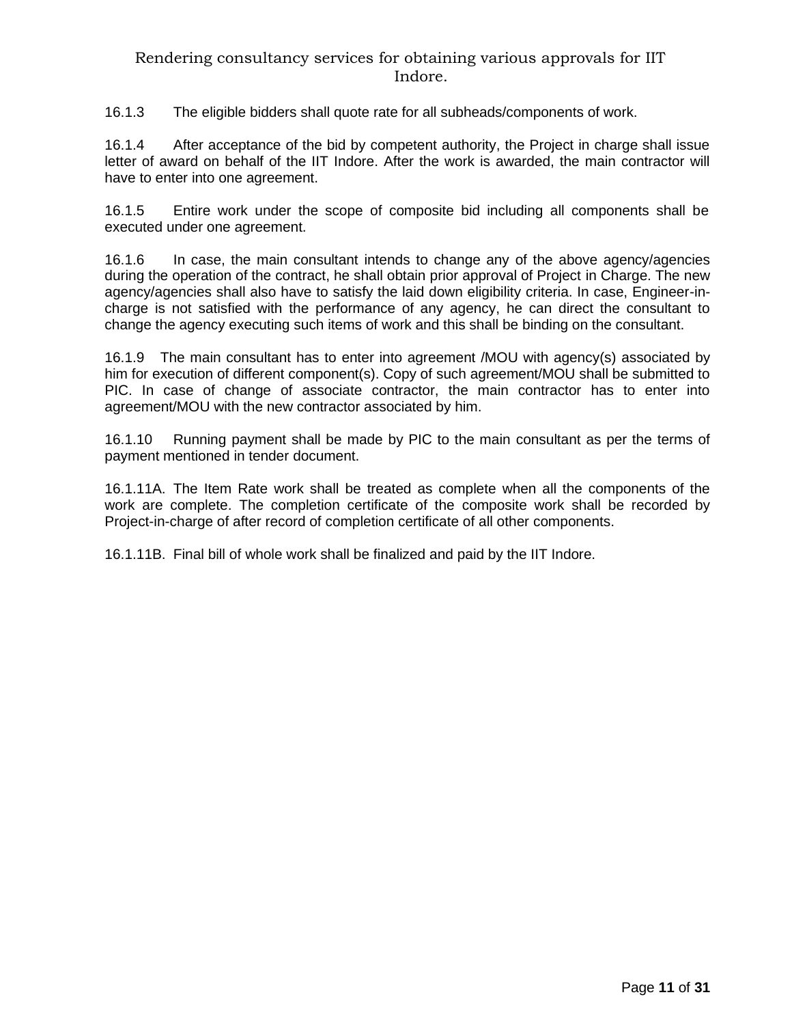16.1.3 The eligible bidders shall quote rate for all subheads/components of work.

16.1.4 After acceptance of the bid by competent authority, the Project in charge shall issue letter of award on behalf of the IIT Indore. After the work is awarded, the main contractor will have to enter into one agreement.

16.1.5 Entire work under the scope of composite bid including all components shall be executed under one agreement.

16.1.6 In case, the main consultant intends to change any of the above agency/agencies during the operation of the contract, he shall obtain prior approval of Project in Charge. The new agency/agencies shall also have to satisfy the laid down eligibility criteria. In case, Engineer-incharge is not satisfied with the performance of any agency, he can direct the consultant to change the agency executing such items of work and this shall be binding on the consultant.

16.1.9 The main consultant has to enter into agreement /MOU with agency(s) associated by him for execution of different component(s). Copy of such agreement/MOU shall be submitted to PIC. In case of change of associate contractor, the main contractor has to enter into agreement/MOU with the new contractor associated by him.

16.1.10 Running payment shall be made by PIC to the main consultant as per the terms of payment mentioned in tender document.

16.1.11A. The Item Rate work shall be treated as complete when all the components of the work are complete. The completion certificate of the composite work shall be recorded by Project-in-charge of after record of completion certificate of all other components.

16.1.11B. Final bill of whole work shall be finalized and paid by the IIT Indore.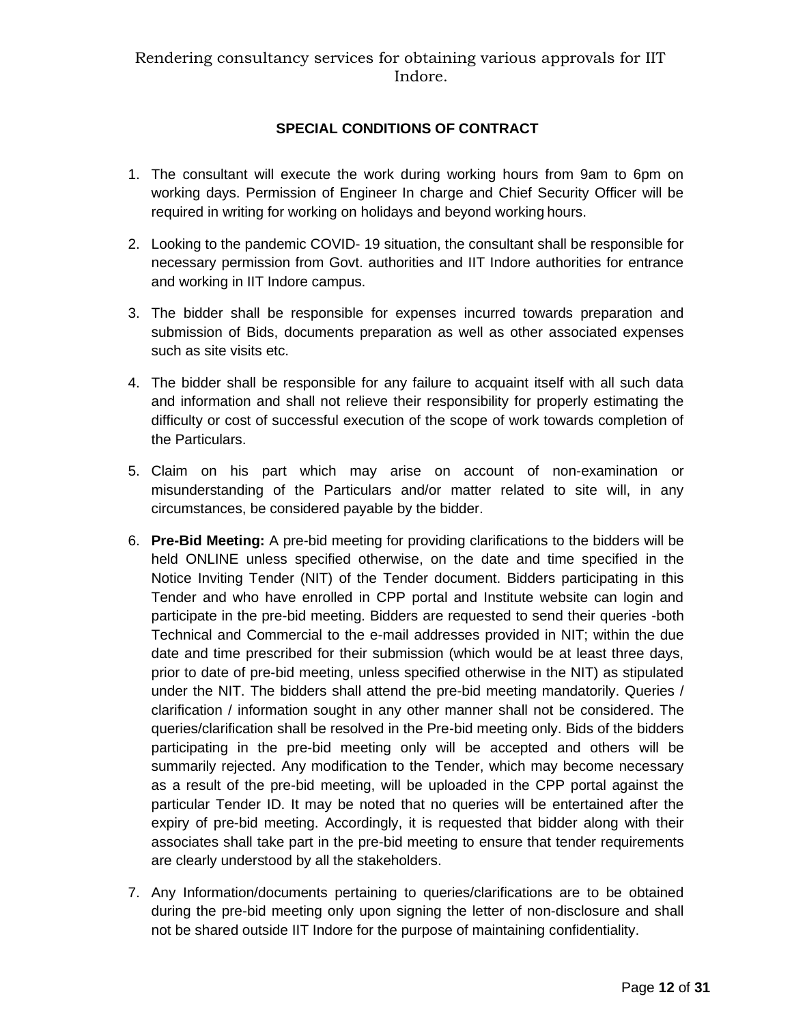# **SPECIAL CONDITIONS OF CONTRACT**

- 1. The consultant will execute the work during working hours from 9am to 6pm on working days. Permission of Engineer In charge and Chief Security Officer will be required in writing for working on holidays and beyond working hours.
- 2. Looking to the pandemic COVID- 19 situation, the consultant shall be responsible for necessary permission from Govt. authorities and IIT Indore authorities for entrance and working in IIT Indore campus.
- 3. The bidder shall be responsible for expenses incurred towards preparation and submission of Bids, documents preparation as well as other associated expenses such as site visits etc.
- 4. The bidder shall be responsible for any failure to acquaint itself with all such data and information and shall not relieve their responsibility for properly estimating the difficulty or cost of successful execution of the scope of work towards completion of the Particulars.
- 5. Claim on his part which may arise on account of non-examination or misunderstanding of the Particulars and/or matter related to site will, in any circumstances, be considered payable by the bidder.
- 6. **Pre-Bid Meeting:** A pre-bid meeting for providing clarifications to the bidders will be held ONLINE unless specified otherwise, on the date and time specified in the Notice Inviting Tender (NIT) of the Tender document. Bidders participating in this Tender and who have enrolled in CPP portal and Institute website can login and participate in the pre-bid meeting. Bidders are requested to send their queries -both Technical and Commercial to the e-mail addresses provided in NIT; within the due date and time prescribed for their submission (which would be at least three days, prior to date of pre-bid meeting, unless specified otherwise in the NIT) as stipulated under the NIT. The bidders shall attend the pre-bid meeting mandatorily. Queries / clarification / information sought in any other manner shall not be considered. The queries/clarification shall be resolved in the Pre-bid meeting only. Bids of the bidders participating in the pre-bid meeting only will be accepted and others will be summarily rejected. Any modification to the Tender, which may become necessary as a result of the pre-bid meeting, will be uploaded in the CPP portal against the particular Tender ID. It may be noted that no queries will be entertained after the expiry of pre-bid meeting. Accordingly, it is requested that bidder along with their associates shall take part in the pre-bid meeting to ensure that tender requirements are clearly understood by all the stakeholders.
- 7. Any Information/documents pertaining to queries/clarifications are to be obtained during the pre-bid meeting only upon signing the letter of non-disclosure and shall not be shared outside IIT Indore for the purpose of maintaining confidentiality.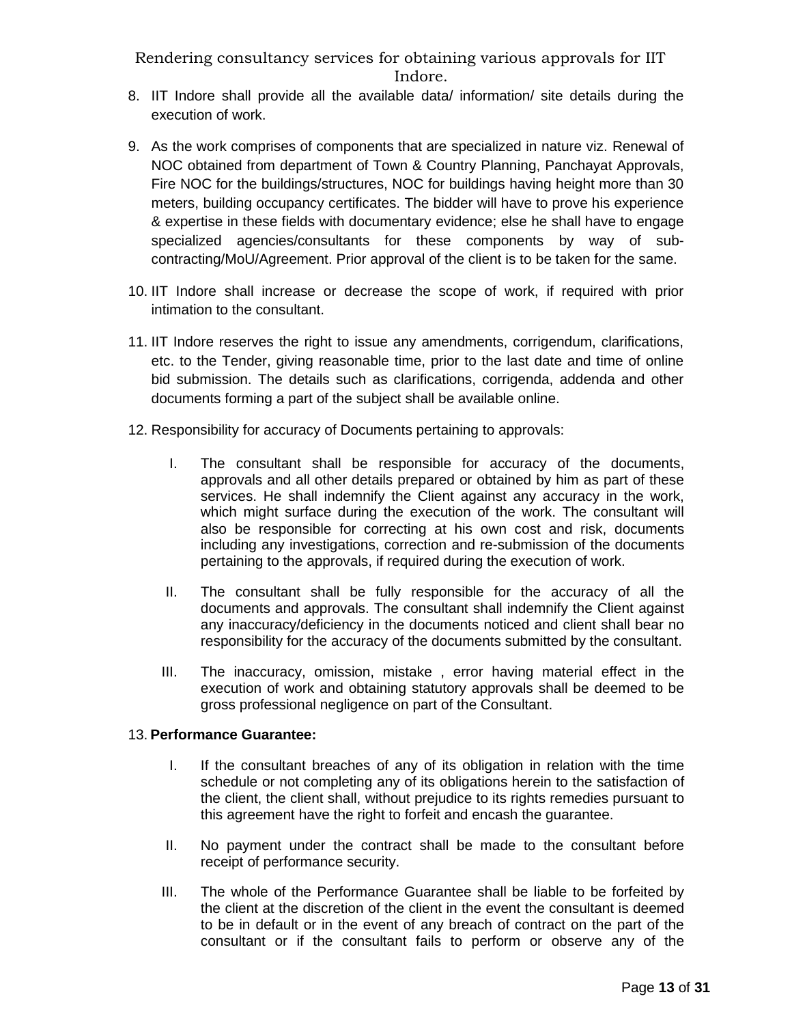- 8. IIT Indore shall provide all the available data/ information/ site details during the execution of work.
- 9. As the work comprises of components that are specialized in nature viz. Renewal of NOC obtained from department of Town & Country Planning, Panchayat Approvals, Fire NOC for the buildings/structures, NOC for buildings having height more than 30 meters, building occupancy certificates. The bidder will have to prove his experience & expertise in these fields with documentary evidence; else he shall have to engage specialized agencies/consultants for these components by way of subcontracting/MoU/Agreement. Prior approval of the client is to be taken for the same.
- 10. IIT Indore shall increase or decrease the scope of work, if required with prior intimation to the consultant.
- 11. IIT Indore reserves the right to issue any amendments, corrigendum, clarifications, etc. to the Tender, giving reasonable time, prior to the last date and time of online bid submission. The details such as clarifications, corrigenda, addenda and other documents forming a part of the subject shall be available online.
- 12. Responsibility for accuracy of Documents pertaining to approvals:
	- I. The consultant shall be responsible for accuracy of the documents, approvals and all other details prepared or obtained by him as part of these services. He shall indemnify the Client against any accuracy in the work, which might surface during the execution of the work. The consultant will also be responsible for correcting at his own cost and risk, documents including any investigations, correction and re-submission of the documents pertaining to the approvals, if required during the execution of work.
	- II. The consultant shall be fully responsible for the accuracy of all the documents and approvals. The consultant shall indemnify the Client against any inaccuracy/deficiency in the documents noticed and client shall bear no responsibility for the accuracy of the documents submitted by the consultant.
	- III. The inaccuracy, omission, mistake , error having material effect in the execution of work and obtaining statutory approvals shall be deemed to be gross professional negligence on part of the Consultant.

#### 13. **Performance Guarantee:**

- I. If the consultant breaches of any of its obligation in relation with the time schedule or not completing any of its obligations herein to the satisfaction of the client, the client shall, without prejudice to its rights remedies pursuant to this agreement have the right to forfeit and encash the guarantee.
- II. No payment under the contract shall be made to the consultant before receipt of performance security.
- III. The whole of the Performance Guarantee shall be liable to be forfeited by the client at the discretion of the client in the event the consultant is deemed to be in default or in the event of any breach of contract on the part of the consultant or if the consultant fails to perform or observe any of the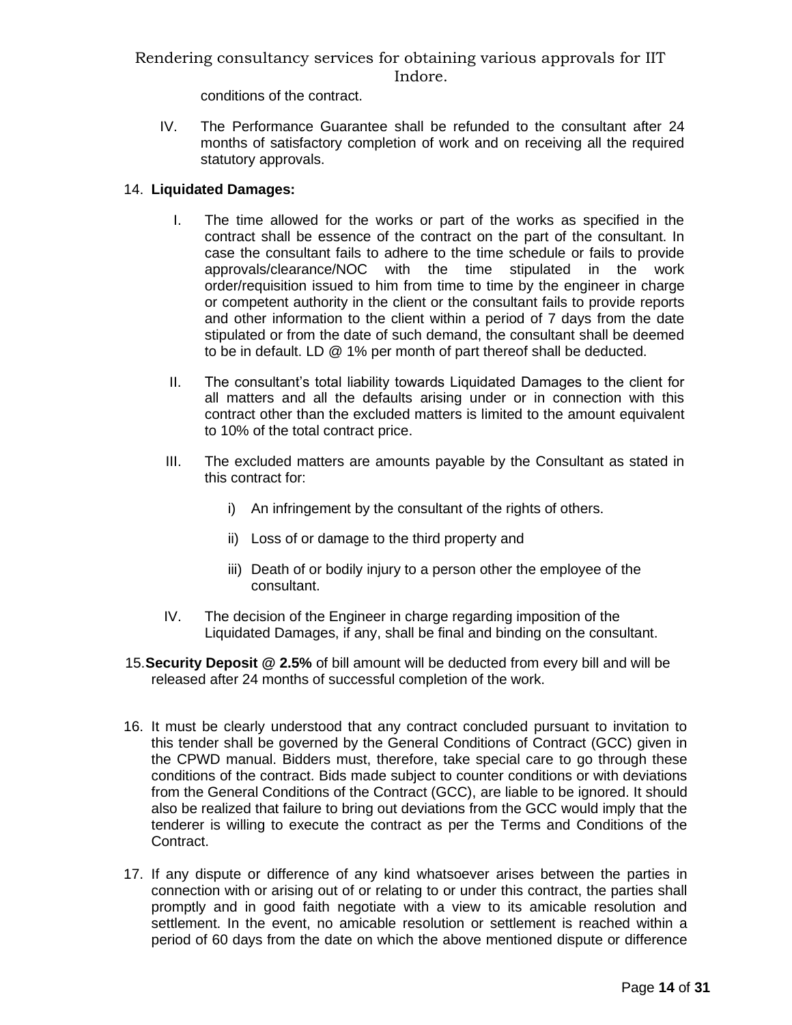conditions of the contract.

IV. The Performance Guarantee shall be refunded to the consultant after 24 months of satisfactory completion of work and on receiving all the required statutory approvals.

## 14. **Liquidated Damages:**

- I. The time allowed for the works or part of the works as specified in the contract shall be essence of the contract on the part of the consultant. In case the consultant fails to adhere to the time schedule or fails to provide approvals/clearance/NOC with the time stipulated in the work order/requisition issued to him from time to time by the engineer in charge or competent authority in the client or the consultant fails to provide reports and other information to the client within a period of 7 days from the date stipulated or from the date of such demand, the consultant shall be deemed to be in default. LD @ 1% per month of part thereof shall be deducted.
- II. The consultant's total liability towards Liquidated Damages to the client for all matters and all the defaults arising under or in connection with this contract other than the excluded matters is limited to the amount equivalent to 10% of the total contract price.
- III. The excluded matters are amounts payable by the Consultant as stated in this contract for:
	- i) An infringement by the consultant of the rights of others.
	- ii) Loss of or damage to the third property and
	- iii) Death of or bodily injury to a person other the employee of the consultant.
- IV. The decision of the Engineer in charge regarding imposition of the Liquidated Damages, if any, shall be final and binding on the consultant.
- 15.**Security Deposit @ 2.5%** of bill amount will be deducted from every bill and will be released after 24 months of successful completion of the work.
- 16. It must be clearly understood that any contract concluded pursuant to invitation to this tender shall be governed by the General Conditions of Contract (GCC) given in the CPWD manual. Bidders must, therefore, take special care to go through these conditions of the contract. Bids made subject to counter conditions or with deviations from the General Conditions of the Contract (GCC), are liable to be ignored. It should also be realized that failure to bring out deviations from the GCC would imply that the tenderer is willing to execute the contract as per the Terms and Conditions of the Contract.
- 17. If any dispute or difference of any kind whatsoever arises between the parties in connection with or arising out of or relating to or under this contract, the parties shall promptly and in good faith negotiate with a view to its amicable resolution and settlement. In the event, no amicable resolution or settlement is reached within a period of 60 days from the date on which the above mentioned dispute or difference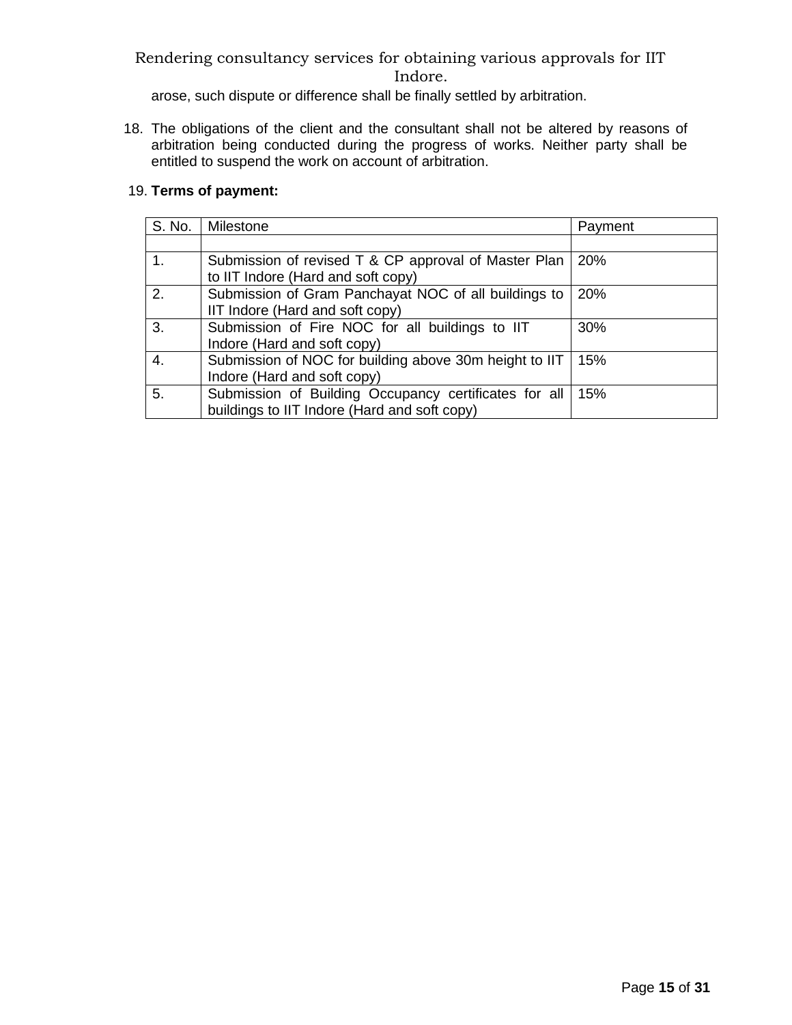arose, such dispute or difference shall be finally settled by arbitration.

18. The obligations of the client and the consultant shall not be altered by reasons of arbitration being conducted during the progress of works. Neither party shall be entitled to suspend the work on account of arbitration.

## 19. **Terms of payment:**

| S. No. | Milestone                                                                                             | Payment |
|--------|-------------------------------------------------------------------------------------------------------|---------|
|        |                                                                                                       |         |
| 1.     | Submission of revised T & CP approval of Master Plan<br>to IIT Indore (Hard and soft copy)            | 20%     |
| 2.     | Submission of Gram Panchayat NOC of all buildings to<br>IIT Indore (Hard and soft copy)               | 20%     |
| 3.     | Submission of Fire NOC for all buildings to IIT<br>Indore (Hard and soft copy)                        | 30%     |
| 4.     | Submission of NOC for building above 30m height to IIT<br>Indore (Hard and soft copy)                 | 15%     |
| 5.     | Submission of Building Occupancy certificates for all<br>buildings to IIT Indore (Hard and soft copy) | 15%     |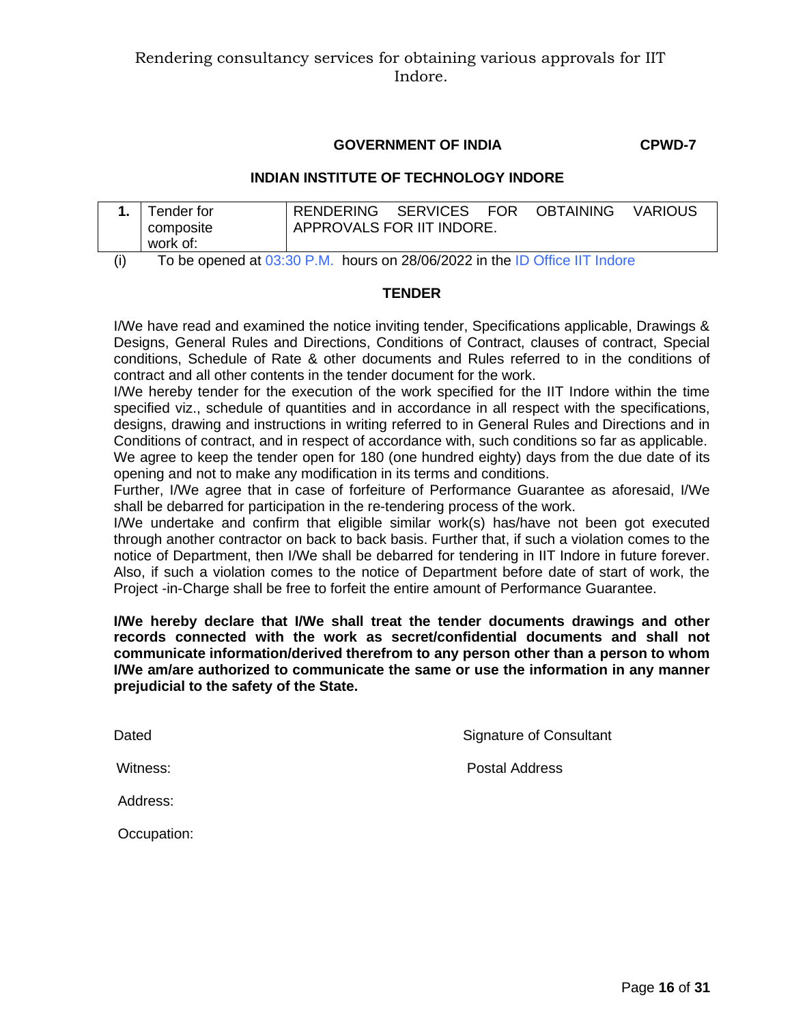#### **GOVERNMENT OF INDIA CPWD-7**

#### **INDIAN INSTITUTE OF TECHNOLOGY INDORE**

| Tender for                                                                                 | RENDERING SERVICES FOR    |  |  | <b>OBTAINING</b> | <b>VARIOUS</b> |  |
|--------------------------------------------------------------------------------------------|---------------------------|--|--|------------------|----------------|--|
| composite<br>work of:                                                                      | APPROVALS FOR IIT INDORE. |  |  |                  |                |  |
| $T_{\text{A}}$ be executed at 00:00 D M . Letter an 00/00/0000 in the ID Office IIT laders |                           |  |  |                  |                |  |

(i) To be opened at  $03:30$  P.M. hours on 28/06/2022 in the ID Office IIT Indore

#### **TENDER**

I/We have read and examined the notice inviting tender, Specifications applicable, Drawings & Designs, General Rules and Directions, Conditions of Contract, clauses of contract, Special conditions, Schedule of Rate & other documents and Rules referred to in the conditions of contract and all other contents in the tender document for the work.

I/We hereby tender for the execution of the work specified for the IIT Indore within the time specified viz., schedule of quantities and in accordance in all respect with the specifications, designs, drawing and instructions in writing referred to in General Rules and Directions and in Conditions of contract, and in respect of accordance with, such conditions so far as applicable.

We agree to keep the tender open for 180 (one hundred eighty) days from the due date of its opening and not to make any modification in its terms and conditions.

Further, I/We agree that in case of forfeiture of Performance Guarantee as aforesaid, I/We shall be debarred for participation in the re-tendering process of the work.

I/We undertake and confirm that eligible similar work(s) has/have not been got executed through another contractor on back to back basis. Further that, if such a violation comes to the notice of Department, then I/We shall be debarred for tendering in IIT Indore in future forever. Also, if such a violation comes to the notice of Department before date of start of work, the Project -in-Charge shall be free to forfeit the entire amount of Performance Guarantee.

**I/We hereby declare that I/We shall treat the tender documents drawings and other records connected with the work as secret/confidential documents and shall not communicate information/derived therefrom to any person other than a person to whom I/We am/are authorized to communicate the same or use the information in any manner prejudicial to the safety of the State.**

Dated **Signature of Consultant** 

Witness: Witness: **Postal Address** 

Address:

Occupation: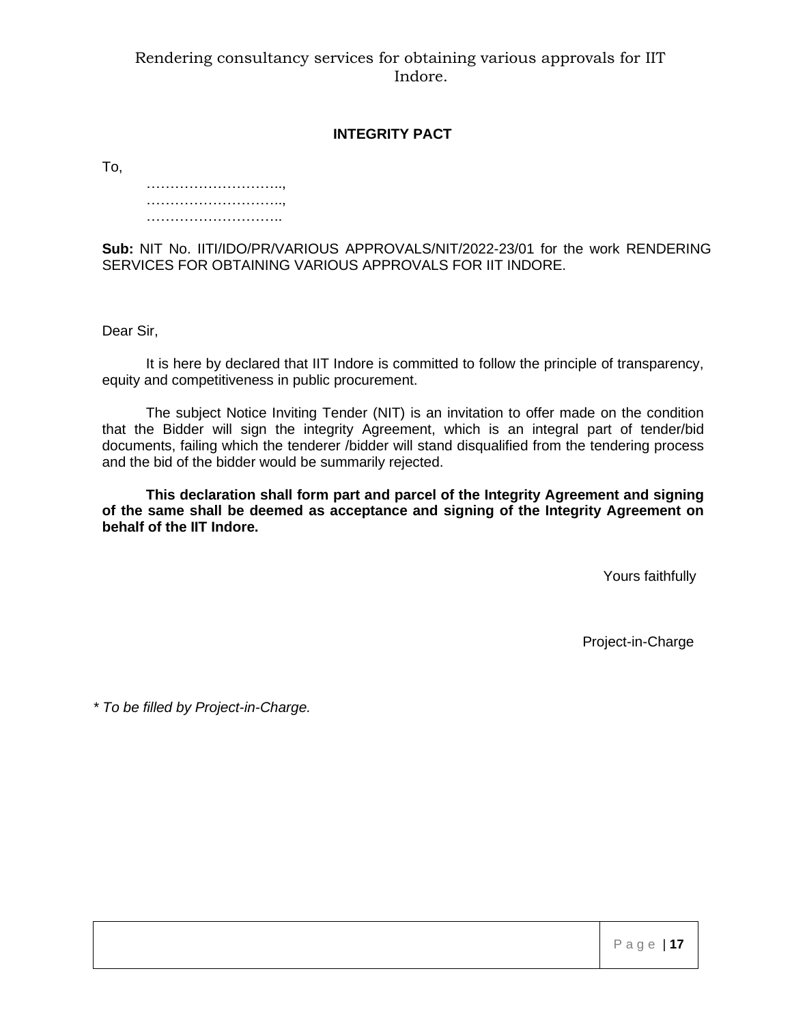#### **INTEGRITY PACT**

To,

…………………………………… ……………………………… ……………………………

**Sub:** NIT No. IITI/IDO/PR/VARIOUS APPROVALS/NIT/2022-23/01 for the work RENDERING SERVICES FOR OBTAINING VARIOUS APPROVALS FOR IIT INDORE.

Dear Sir,

It is here by declared that IIT Indore is committed to follow the principle of transparency, equity and competitiveness in public procurement.

The subject Notice Inviting Tender (NIT) is an invitation to offer made on the condition that the Bidder will sign the integrity Agreement, which is an integral part of tender/bid documents, failing which the tenderer /bidder will stand disqualified from the tendering process and the bid of the bidder would be summarily rejected.

**This declaration shall form part and parcel of the Integrity Agreement and signing of the same shall be deemed as acceptance and signing of the Integrity Agreement on behalf of the IIT Indore.**

Yours faithfully

Project-in-Charge

*\* To be filled by Project-in-Charge.*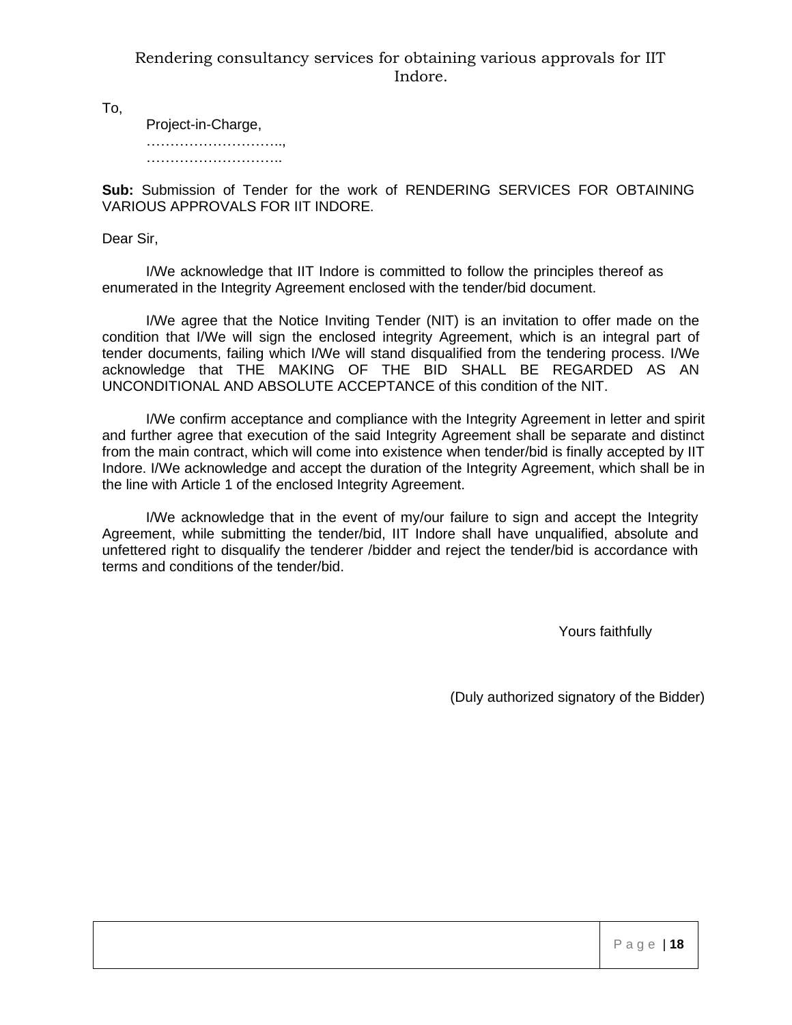To,

Project-in-Charge, ……………………………, ………………………………………

**Sub:** Submission of Tender for the work of RENDERING SERVICES FOR OBTAINING VARIOUS APPROVALS FOR IIT INDORE.

Dear Sir,

I/We acknowledge that IIT Indore is committed to follow the principles thereof as enumerated in the Integrity Agreement enclosed with the tender/bid document.

I/We agree that the Notice Inviting Tender (NIT) is an invitation to offer made on the condition that I/We will sign the enclosed integrity Agreement, which is an integral part of tender documents, failing which I/We will stand disqualified from the tendering process. I/We acknowledge that THE MAKING OF THE BID SHALL BE REGARDED AS AN UNCONDITIONAL AND ABSOLUTE ACCEPTANCE of this condition of the NIT.

I/We confirm acceptance and compliance with the Integrity Agreement in letter and spirit and further agree that execution of the said Integrity Agreement shall be separate and distinct from the main contract, which will come into existence when tender/bid is finally accepted by IIT Indore. I/We acknowledge and accept the duration of the Integrity Agreement, which shall be in the line with Article 1 of the enclosed Integrity Agreement.

I/We acknowledge that in the event of my/our failure to sign and accept the Integrity Agreement, while submitting the tender/bid, IIT Indore shall have unqualified, absolute and unfettered right to disqualify the tenderer /bidder and reject the tender/bid is accordance with terms and conditions of the tender/bid.

Yours faithfully

(Duly authorized signatory of the Bidder)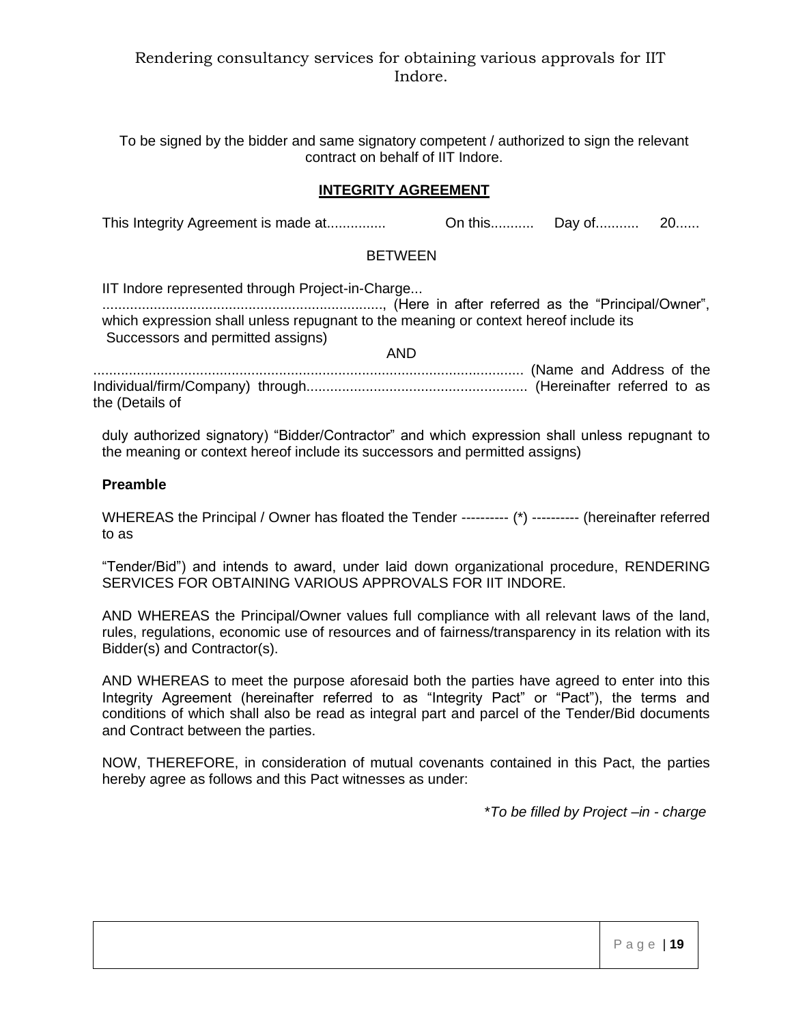To be signed by the bidder and same signatory competent / authorized to sign the relevant contract on behalf of IIT Indore.

#### **INTEGRITY AGREEMENT**

This Integrity Agreement is made at............... On this........... Day of........... 20......

#### **BETWEEN**

IIT Indore represented through Project-in-Charge... ......................................................................., (Here in after referred as the "Principal/Owner", which expression shall unless repugnant to the meaning or context hereof include its Successors and permitted assigns)

............................................................................................................. (Name and Address of the Individual/firm/Company) through........................................................ (Hereinafter referred to as the (Details of

AND

duly authorized signatory) "Bidder/Contractor" and which expression shall unless repugnant to the meaning or context hereof include its successors and permitted assigns)

#### **Preamble**

WHEREAS the Principal / Owner has floated the Tender ---------- (\*) ---------- (hereinafter referred to as

"Tender/Bid") and intends to award, under laid down organizational procedure, RENDERING SERVICES FOR OBTAINING VARIOUS APPROVALS FOR IIT INDORE.

AND WHEREAS the Principal/Owner values full compliance with all relevant laws of the land, rules, regulations, economic use of resources and of fairness/transparency in its relation with its Bidder(s) and Contractor(s).

AND WHEREAS to meet the purpose aforesaid both the parties have agreed to enter into this Integrity Agreement (hereinafter referred to as "Integrity Pact" or "Pact"), the terms and conditions of which shall also be read as integral part and parcel of the Tender/Bid documents and Contract between the parties.

NOW, THEREFORE, in consideration of mutual covenants contained in this Pact, the parties hereby agree as follows and this Pact witnesses as under:

\**To be filled by Project –in - charge*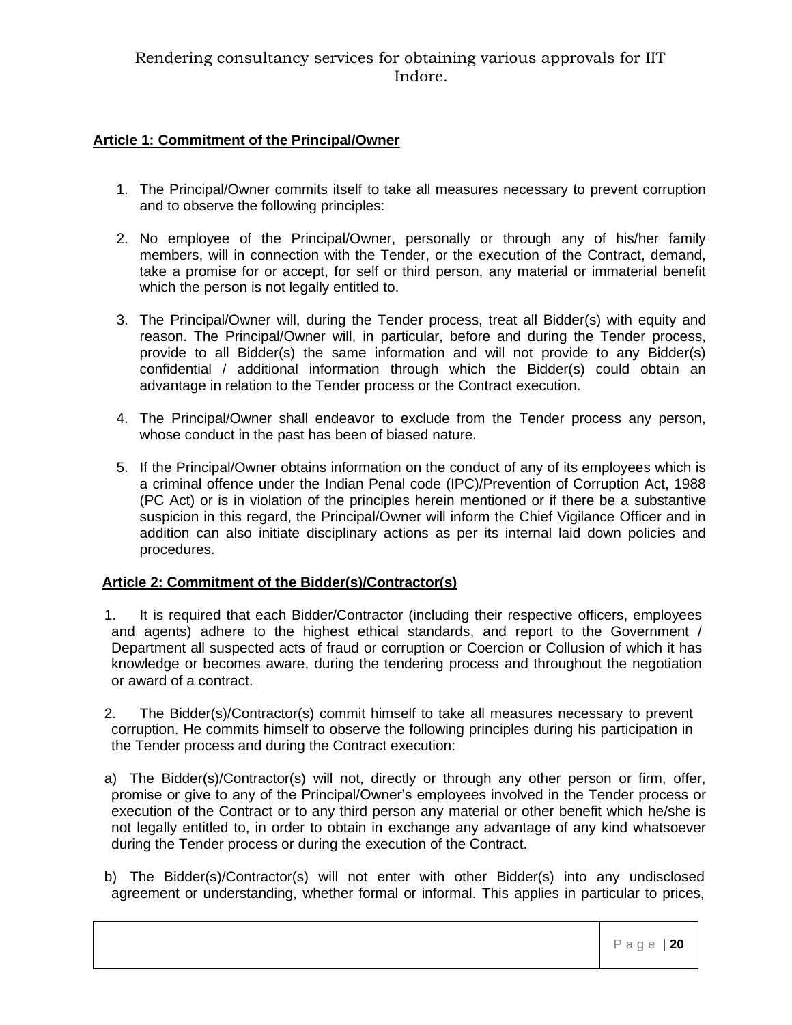## **Article 1: Commitment of the Principal/Owner**

- 1. The Principal/Owner commits itself to take all measures necessary to prevent corruption and to observe the following principles:
- 2. No employee of the Principal/Owner, personally or through any of his/her family members, will in connection with the Tender, or the execution of the Contract, demand, take a promise for or accept, for self or third person, any material or immaterial benefit which the person is not legally entitled to.
- 3. The Principal/Owner will, during the Tender process, treat all Bidder(s) with equity and reason. The Principal/Owner will, in particular, before and during the Tender process, provide to all Bidder(s) the same information and will not provide to any Bidder(s) confidential / additional information through which the Bidder(s) could obtain an advantage in relation to the Tender process or the Contract execution.
- 4. The Principal/Owner shall endeavor to exclude from the Tender process any person, whose conduct in the past has been of biased nature.
- 5. If the Principal/Owner obtains information on the conduct of any of its employees which is a criminal offence under the Indian Penal code (IPC)/Prevention of Corruption Act, 1988 (PC Act) or is in violation of the principles herein mentioned or if there be a substantive suspicion in this regard, the Principal/Owner will inform the Chief Vigilance Officer and in addition can also initiate disciplinary actions as per its internal laid down policies and procedures.

## **Article 2: Commitment of the Bidder(s)/Contractor(s)**

- 1. It is required that each Bidder/Contractor (including their respective officers, employees and agents) adhere to the highest ethical standards, and report to the Government / Department all suspected acts of fraud or corruption or Coercion or Collusion of which it has knowledge or becomes aware, during the tendering process and throughout the negotiation or award of a contract.
- 2. The Bidder(s)/Contractor(s) commit himself to take all measures necessary to prevent corruption. He commits himself to observe the following principles during his participation in the Tender process and during the Contract execution:
- a) The Bidder(s)/Contractor(s) will not, directly or through any other person or firm, offer, promise or give to any of the Principal/Owner's employees involved in the Tender process or execution of the Contract or to any third person any material or other benefit which he/she is not legally entitled to, in order to obtain in exchange any advantage of any kind whatsoever during the Tender process or during the execution of the Contract.
- b) The Bidder(s)/Contractor(s) will not enter with other Bidder(s) into any undisclosed agreement or understanding, whether formal or informal. This applies in particular to prices,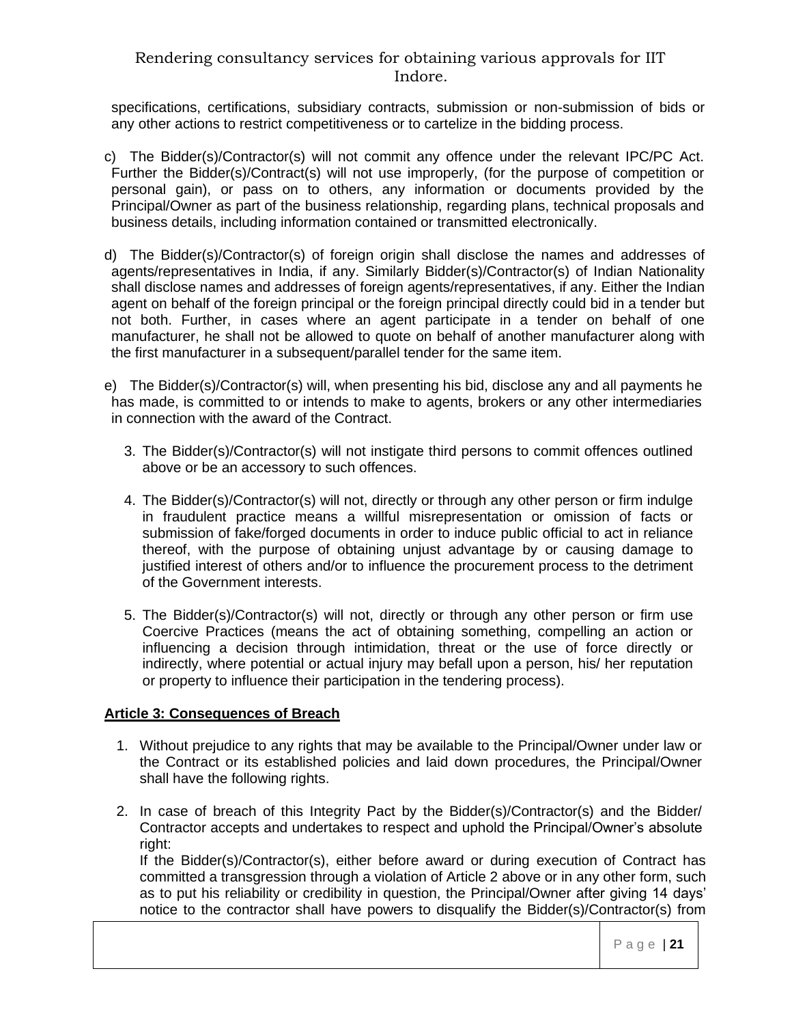specifications, certifications, subsidiary contracts, submission or non-submission of bids or any other actions to restrict competitiveness or to cartelize in the bidding process.

- c) The Bidder(s)/Contractor(s) will not commit any offence under the relevant IPC/PC Act. Further the Bidder(s)/Contract(s) will not use improperly, (for the purpose of competition or personal gain), or pass on to others, any information or documents provided by the Principal/Owner as part of the business relationship, regarding plans, technical proposals and business details, including information contained or transmitted electronically.
- d) The Bidder(s)/Contractor(s) of foreign origin shall disclose the names and addresses of agents/representatives in India, if any. Similarly Bidder(s)/Contractor(s) of Indian Nationality shall disclose names and addresses of foreign agents/representatives, if any. Either the Indian agent on behalf of the foreign principal or the foreign principal directly could bid in a tender but not both. Further, in cases where an agent participate in a tender on behalf of one manufacturer, he shall not be allowed to quote on behalf of another manufacturer along with the first manufacturer in a subsequent/parallel tender for the same item.
- e) The Bidder(s)/Contractor(s) will, when presenting his bid, disclose any and all payments he has made, is committed to or intends to make to agents, brokers or any other intermediaries in connection with the award of the Contract.
	- 3. The Bidder(s)/Contractor(s) will not instigate third persons to commit offences outlined above or be an accessory to such offences.
	- 4. The Bidder(s)/Contractor(s) will not, directly or through any other person or firm indulge in fraudulent practice means a willful misrepresentation or omission of facts or submission of fake/forged documents in order to induce public official to act in reliance thereof, with the purpose of obtaining unjust advantage by or causing damage to justified interest of others and/or to influence the procurement process to the detriment of the Government interests.
	- 5. The Bidder(s)/Contractor(s) will not, directly or through any other person or firm use Coercive Practices (means the act of obtaining something, compelling an action or influencing a decision through intimidation, threat or the use of force directly or indirectly, where potential or actual injury may befall upon a person, his/ her reputation or property to influence their participation in the tendering process).

## **Article 3: Consequences of Breach**

- 1. Without prejudice to any rights that may be available to the Principal/Owner under law or the Contract or its established policies and laid down procedures, the Principal/Owner shall have the following rights.
- 2. In case of breach of this Integrity Pact by the Bidder(s)/Contractor(s) and the Bidder/ Contractor accepts and undertakes to respect and uphold the Principal/Owner's absolute right:

If the Bidder(s)/Contractor(s), either before award or during execution of Contract has committed a transgression through a violation of Article 2 above or in any other form, such as to put his reliability or credibility in question, the Principal/Owner after giving 14 days' notice to the contractor shall have powers to disqualify the Bidder(s)/Contractor(s) from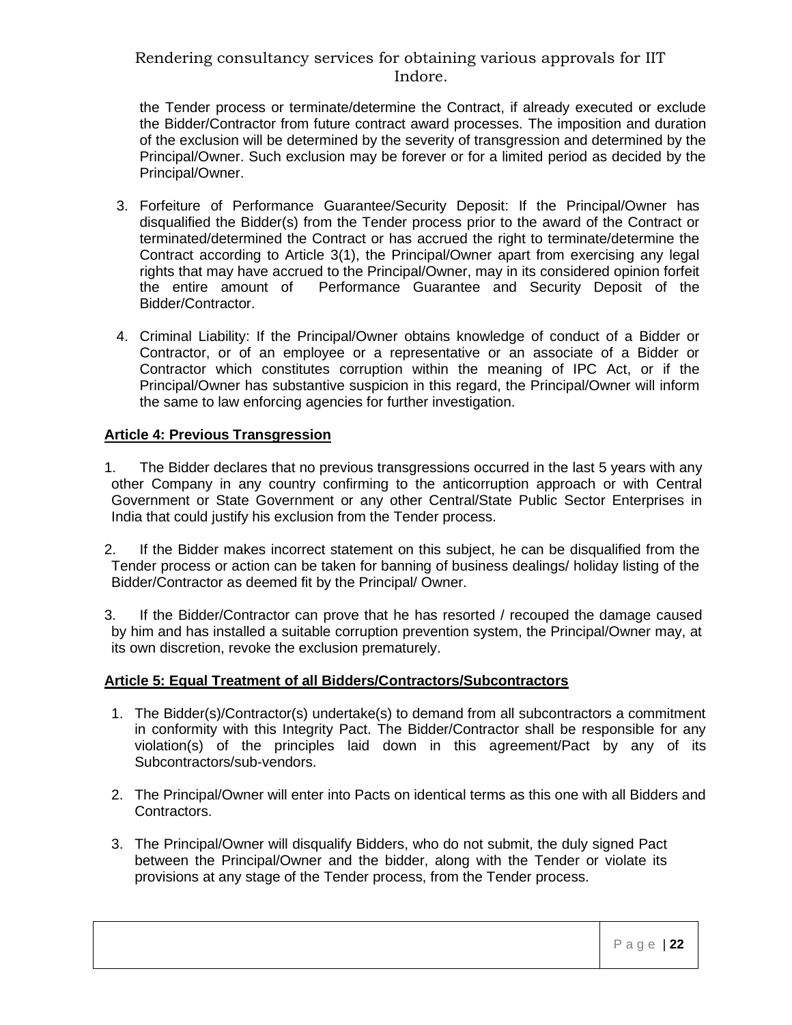the Tender process or terminate/determine the Contract, if already executed or exclude the Bidder/Contractor from future contract award processes. The imposition and duration of the exclusion will be determined by the severity of transgression and determined by the Principal/Owner. Such exclusion may be forever or for a limited period as decided by the Principal/Owner.

- 3. Forfeiture of Performance Guarantee/Security Deposit: If the Principal/Owner has disqualified the Bidder(s) from the Tender process prior to the award of the Contract or terminated/determined the Contract or has accrued the right to terminate/determine the Contract according to Article 3(1), the Principal/Owner apart from exercising any legal rights that may have accrued to the Principal/Owner, may in its considered opinion forfeit the entire amount of Performance Guarantee and Security Deposit of the Bidder/Contractor.
- 4. Criminal Liability: If the Principal/Owner obtains knowledge of conduct of a Bidder or Contractor, or of an employee or a representative or an associate of a Bidder or Contractor which constitutes corruption within the meaning of IPC Act, or if the Principal/Owner has substantive suspicion in this regard, the Principal/Owner will inform the same to law enforcing agencies for further investigation.

#### **Article 4: Previous Transgression**

- 1. The Bidder declares that no previous transgressions occurred in the last 5 years with any other Company in any country confirming to the anticorruption approach or with Central Government or State Government or any other Central/State Public Sector Enterprises in India that could justify his exclusion from the Tender process.
- 2. If the Bidder makes incorrect statement on this subject, he can be disqualified from the Tender process or action can be taken for banning of business dealings/ holiday listing of the Bidder/Contractor as deemed fit by the Principal/ Owner.
- 3. If the Bidder/Contractor can prove that he has resorted / recouped the damage caused by him and has installed a suitable corruption prevention system, the Principal/Owner may, at its own discretion, revoke the exclusion prematurely.

#### **Article 5: Equal Treatment of all Bidders/Contractors/Subcontractors**

- 1. The Bidder(s)/Contractor(s) undertake(s) to demand from all subcontractors a commitment in conformity with this Integrity Pact. The Bidder/Contractor shall be responsible for any violation(s) of the principles laid down in this agreement/Pact by any of its Subcontractors/sub-vendors.
- 2. The Principal/Owner will enter into Pacts on identical terms as this one with all Bidders and Contractors.
- 3. The Principal/Owner will disqualify Bidders, who do not submit, the duly signed Pact between the Principal/Owner and the bidder, along with the Tender or violate its provisions at any stage of the Tender process, from the Tender process.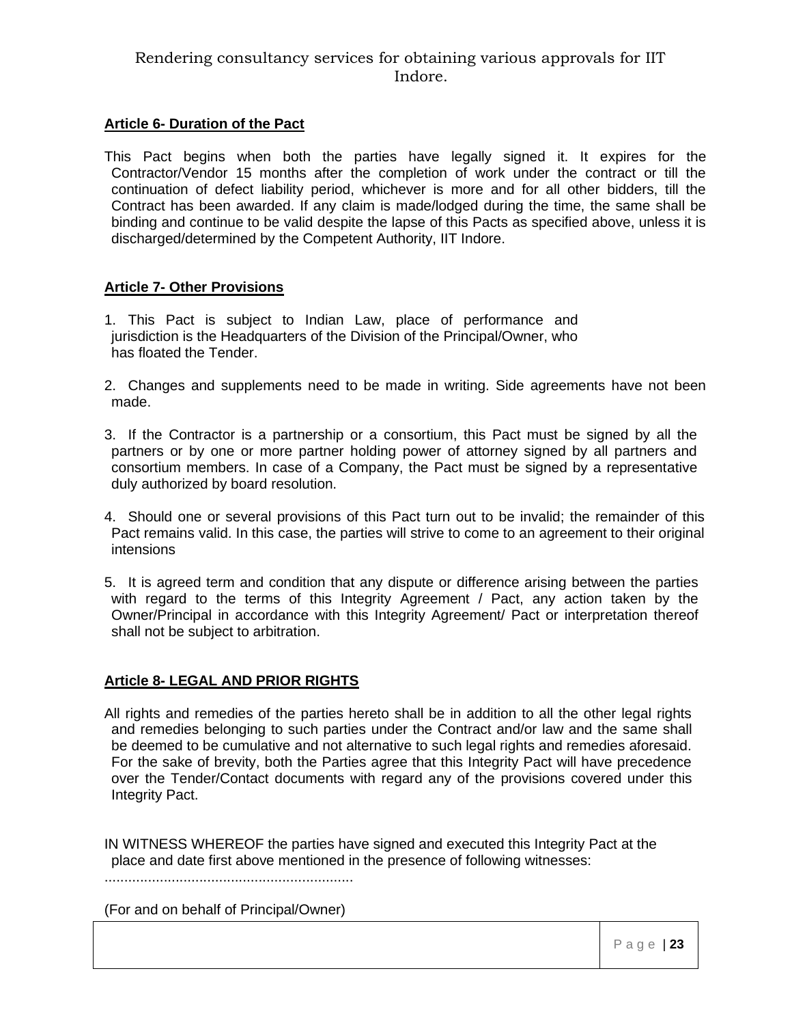#### **Article 6- Duration of the Pact**

This Pact begins when both the parties have legally signed it. It expires for the Contractor/Vendor 15 months after the completion of work under the contract or till the continuation of defect liability period, whichever is more and for all other bidders, till the Contract has been awarded. If any claim is made/lodged during the time, the same shall be binding and continue to be valid despite the lapse of this Pacts as specified above, unless it is discharged/determined by the Competent Authority, IIT Indore.

#### **Article 7- Other Provisions**

- 1. This Pact is subject to Indian Law, place of performance and jurisdiction is the Headquarters of the Division of the Principal/Owner, who has floated the Tender.
- 2. Changes and supplements need to be made in writing. Side agreements have not been made.
- 3. If the Contractor is a partnership or a consortium, this Pact must be signed by all the partners or by one or more partner holding power of attorney signed by all partners and consortium members. In case of a Company, the Pact must be signed by a representative duly authorized by board resolution.
- 4. Should one or several provisions of this Pact turn out to be invalid; the remainder of this Pact remains valid. In this case, the parties will strive to come to an agreement to their original intensions
- 5. It is agreed term and condition that any dispute or difference arising between the parties with regard to the terms of this Integrity Agreement / Pact, any action taken by the Owner/Principal in accordance with this Integrity Agreement/ Pact or interpretation thereof shall not be subject to arbitration.

## **Article 8- LEGAL AND PRIOR RIGHTS**

All rights and remedies of the parties hereto shall be in addition to all the other legal rights and remedies belonging to such parties under the Contract and/or law and the same shall be deemed to be cumulative and not alternative to such legal rights and remedies aforesaid. For the sake of brevity, both the Parties agree that this Integrity Pact will have precedence over the Tender/Contact documents with regard any of the provisions covered under this Integrity Pact.

IN WITNESS WHEREOF the parties have signed and executed this Integrity Pact at the place and date first above mentioned in the presence of following witnesses:

...............................................................

(For and on behalf of Principal/Owner)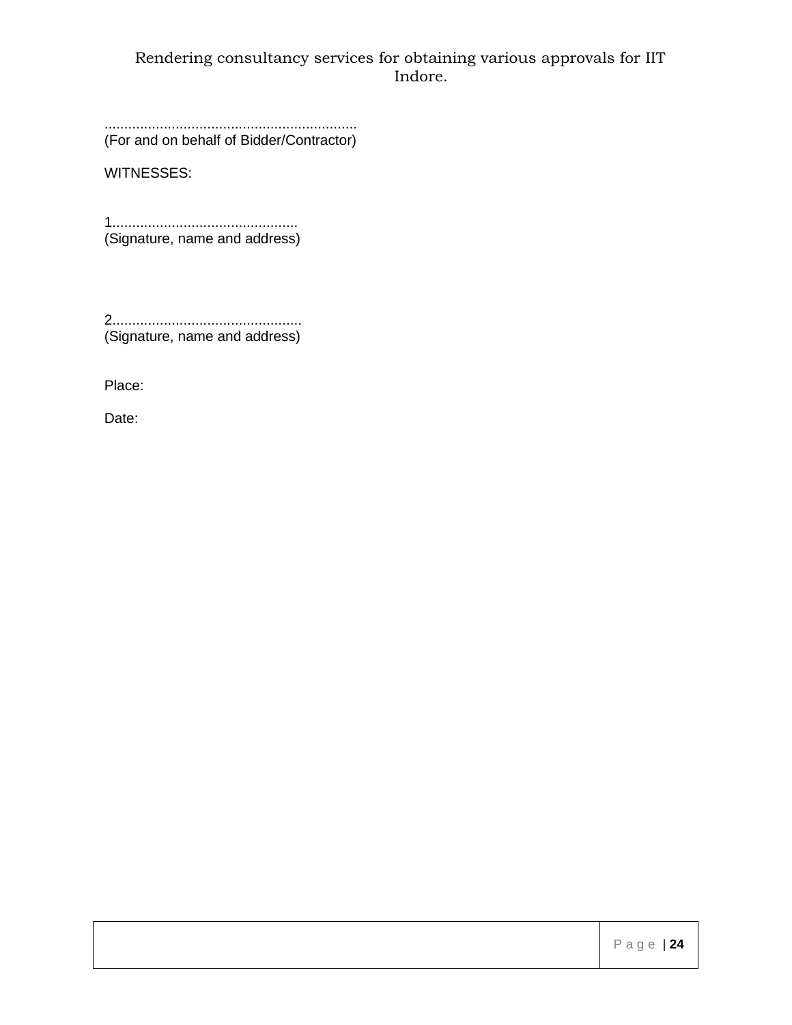................................................................ (For and on behalf of Bidder/Contractor)

WITNESSES:

1............................................... (Signature, name and address)

2................................................ (Signature, name and address)

Place:

Date: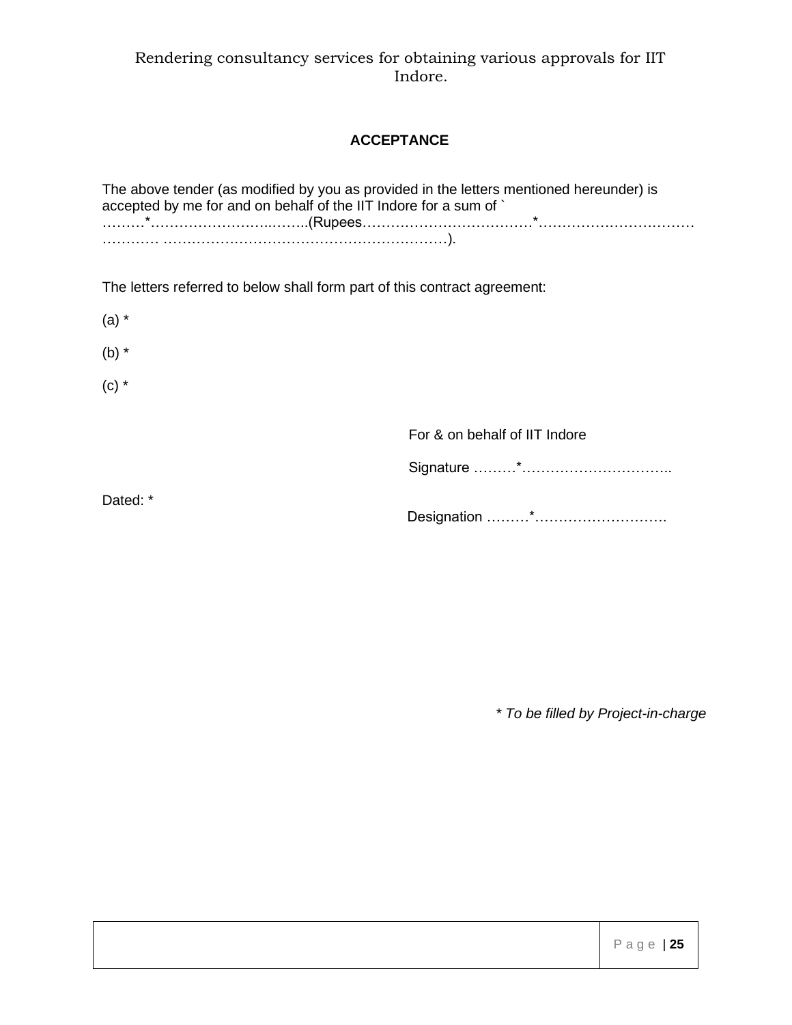# **ACCEPTANCE**

The above tender (as modified by you as provided in the letters mentioned hereunder) is accepted by me for and on behalf of the IIT Indore for a sum of ` ………\*……………………..……..(Rupees………………………………\*…………………………… ………… ……………………………………………………).

The letters referred to below shall form part of this contract agreement:

(a) \*

(b) \*

 $(c)$   $*$ 

For & on behalf of IIT Indore

Signature ………\*…………………………..

Dated: \*

Designation ………\*……………………….

*\* To be filled by Project-in-charge*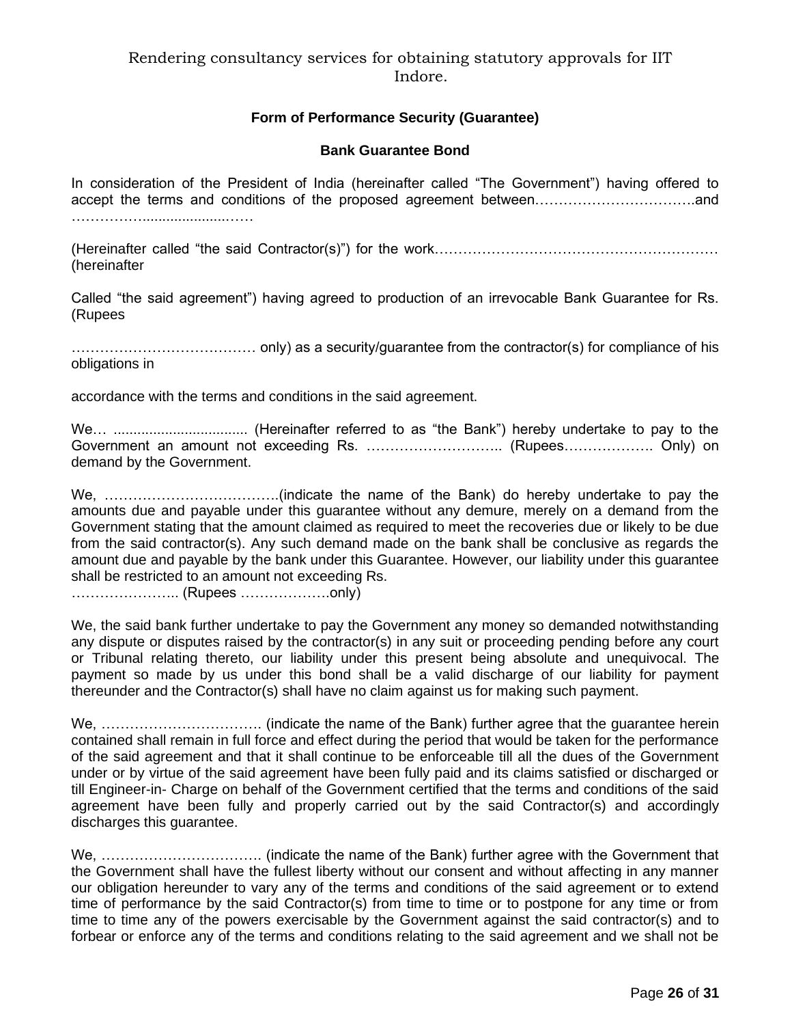## **Form of Performance Security (Guarantee)**

#### **Bank Guarantee Bond**

In consideration of the President of India (hereinafter called "The Government") having offered to accept the terms and conditions of the proposed agreement between…………………………….and ………………………………………………

(Hereinafter called "the said Contractor(s)") for the work…………………………………………………… (hereinafter

Called "the said agreement") having agreed to production of an irrevocable Bank Guarantee for Rs. (Rupees

………………………………… only) as a security/guarantee from the contractor(s) for compliance of his obligations in

accordance with the terms and conditions in the said agreement.

We… .................................. (Hereinafter referred to as "the Bank") hereby undertake to pay to the Government an amount not exceeding Rs. ……………………….. (Rupees………………. Only) on demand by the Government.

We, ……………………………….(indicate the name of the Bank) do hereby undertake to pay the amounts due and payable under this guarantee without any demure, merely on a demand from the Government stating that the amount claimed as required to meet the recoveries due or likely to be due from the said contractor(s). Any such demand made on the bank shall be conclusive as regards the amount due and payable by the bank under this Guarantee. However, our liability under this guarantee shall be restricted to an amount not exceeding Rs.

………………….. (Rupees ……………….only)

We, the said bank further undertake to pay the Government any money so demanded notwithstanding any dispute or disputes raised by the contractor(s) in any suit or proceeding pending before any court or Tribunal relating thereto, our liability under this present being absolute and unequivocal. The payment so made by us under this bond shall be a valid discharge of our liability for payment thereunder and the Contractor(s) shall have no claim against us for making such payment.

We, ……………………………. (indicate the name of the Bank) further agree that the guarantee herein contained shall remain in full force and effect during the period that would be taken for the performance of the said agreement and that it shall continue to be enforceable till all the dues of the Government under or by virtue of the said agreement have been fully paid and its claims satisfied or discharged or till Engineer-in- Charge on behalf of the Government certified that the terms and conditions of the said agreement have been fully and properly carried out by the said Contractor(s) and accordingly discharges this guarantee.

We, ……………………………. (indicate the name of the Bank) further agree with the Government that the Government shall have the fullest liberty without our consent and without affecting in any manner our obligation hereunder to vary any of the terms and conditions of the said agreement or to extend time of performance by the said Contractor(s) from time to time or to postpone for any time or from time to time any of the powers exercisable by the Government against the said contractor(s) and to forbear or enforce any of the terms and conditions relating to the said agreement and we shall not be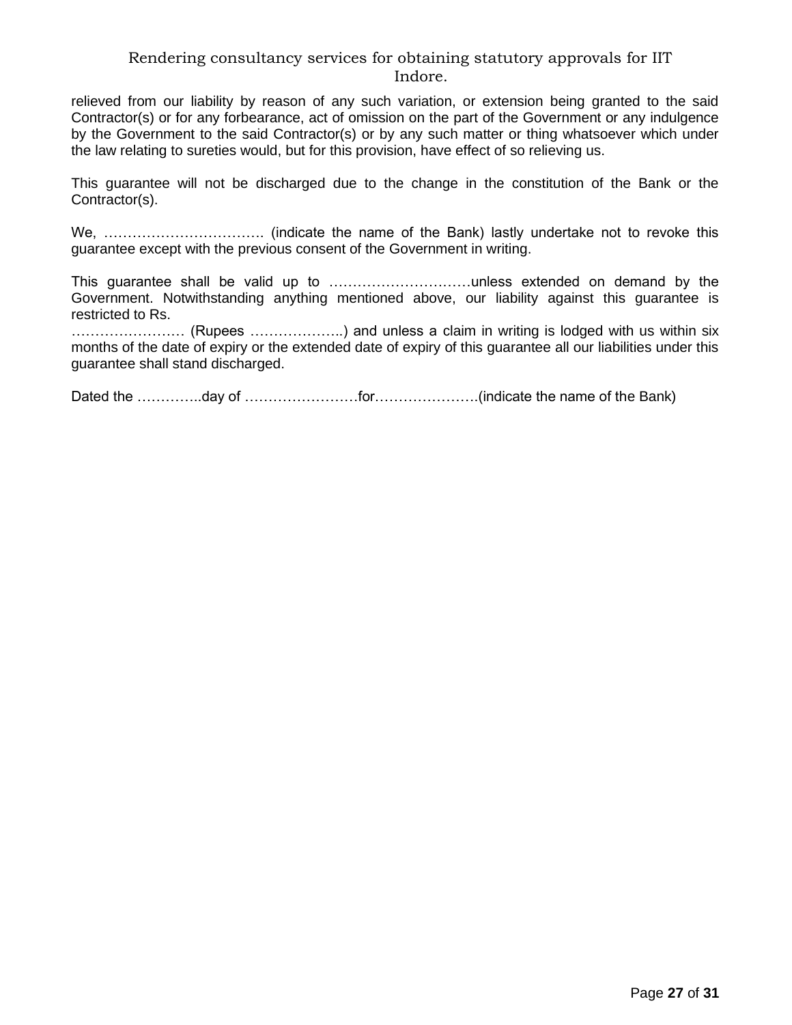relieved from our liability by reason of any such variation, or extension being granted to the said Contractor(s) or for any forbearance, act of omission on the part of the Government or any indulgence by the Government to the said Contractor(s) or by any such matter or thing whatsoever which under the law relating to sureties would, but for this provision, have effect of so relieving us.

This guarantee will not be discharged due to the change in the constitution of the Bank or the Contractor(s).

We, ……………………………. (indicate the name of the Bank) lastly undertake not to revoke this guarantee except with the previous consent of the Government in writing.

This guarantee shall be valid up to …………………………unless extended on demand by the Government. Notwithstanding anything mentioned above, our liability against this guarantee is restricted to Rs.

…………………… (Rupees ………………..) and unless a claim in writing is lodged with us within six months of the date of expiry or the extended date of expiry of this guarantee all our liabilities under this guarantee shall stand discharged.

Dated the …………..day of ……………………...for…………………….(indicate the name of the Bank)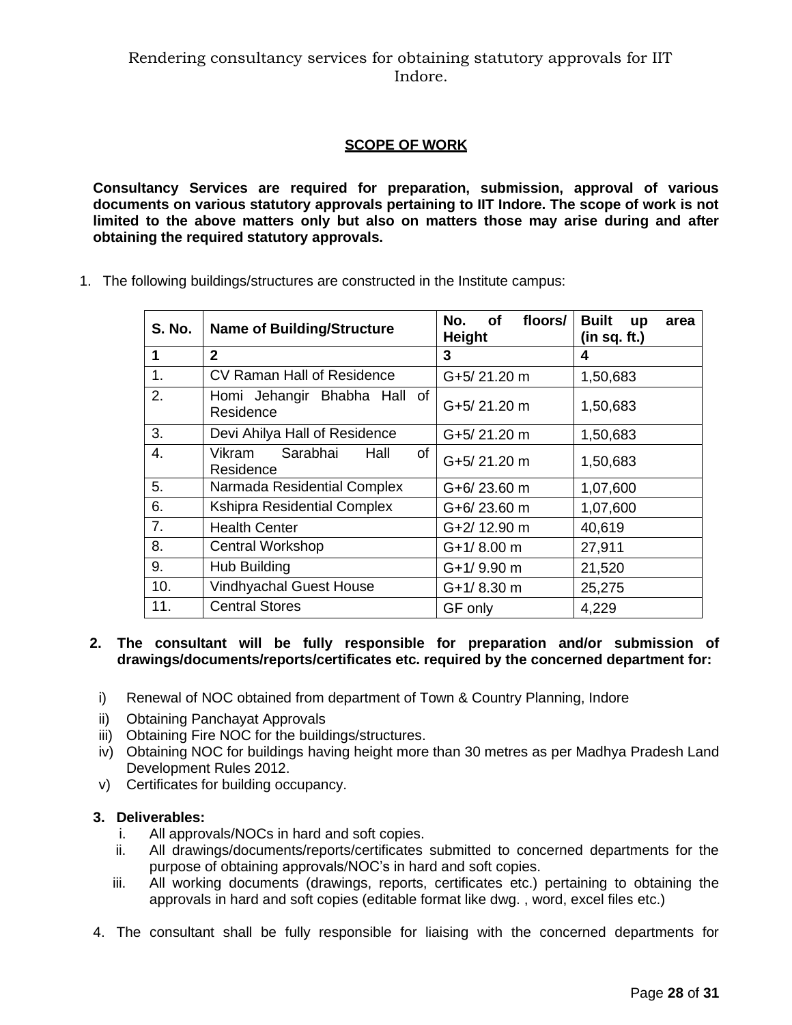# **SCOPE OF WORK**

**Consultancy Services are required for preparation, submission, approval of various documents on various statutory approvals pertaining to IIT Indore. The scope of work is not limited to the above matters only but also on matters those may arise during and after obtaining the required statutory approvals.** 

1. The following buildings/structures are constructed in the Institute campus:

| <b>S. No.</b> | <b>Name of Building/Structure</b>             | floors/<br>No.<br>of<br><b>Height</b> | <b>Built</b><br><b>up</b><br>area<br>(in sq. ft.) |  |
|---------------|-----------------------------------------------|---------------------------------------|---------------------------------------------------|--|
| 1             | $\mathbf{2}$                                  | 3                                     | 4                                                 |  |
| 1.            | CV Raman Hall of Residence                    | G+5/21.20 m                           | 1,50,683                                          |  |
| 2.            | Homi Jehangir Bhabha Hall of<br>Residence     | G+5/21.20 m                           | 1,50,683                                          |  |
| 3.            | Devi Ahilya Hall of Residence                 | G+5/21.20 m                           | 1,50,683                                          |  |
| 4.            | Sarabhai<br>Vikram<br>of<br>Hall<br>Residence | G+5/21.20 m                           | 1,50,683                                          |  |
| 5.            | Narmada Residential Complex                   | $G+6/23.60$ m                         | 1,07,600                                          |  |
| 6.            | <b>Kshipra Residential Complex</b>            | G+6/23.60 m                           | 1,07,600                                          |  |
| 7.            | <b>Health Center</b>                          | G+2/12.90 m                           | 40,619                                            |  |
| 8.            | <b>Central Workshop</b>                       | $G+1/8.00$ m                          | 27,911                                            |  |
| 9.            | <b>Hub Building</b>                           | G+1/9.90 m                            | 21,520                                            |  |
| 10.           | <b>Vindhyachal Guest House</b>                | $G+1/8.30$ m                          | 25,275                                            |  |
| 11.           | <b>Central Stores</b>                         | GF only                               | 4,229                                             |  |

#### **2. The consultant will be fully responsible for preparation and/or submission of drawings/documents/reports/certificates etc. required by the concerned department for:**

- i) Renewal of NOC obtained from department of Town & Country Planning, Indore
- ii) Obtaining Panchayat Approvals
- iii) Obtaining Fire NOC for the buildings/structures.
- iv) Obtaining NOC for buildings having height more than 30 metres as per Madhya Pradesh Land Development Rules 2012.
- v) Certificates for building occupancy.

#### **3. Deliverables:**

- i. All approvals/NOCs in hard and soft copies.
- ii. All drawings/documents/reports/certificates submitted to concerned departments for the purpose of obtaining approvals/NOC's in hard and soft copies.
- iii. All working documents (drawings, reports, certificates etc.) pertaining to obtaining the approvals in hard and soft copies (editable format like dwg. , word, excel files etc.)
- 4. The consultant shall be fully responsible for liaising with the concerned departments for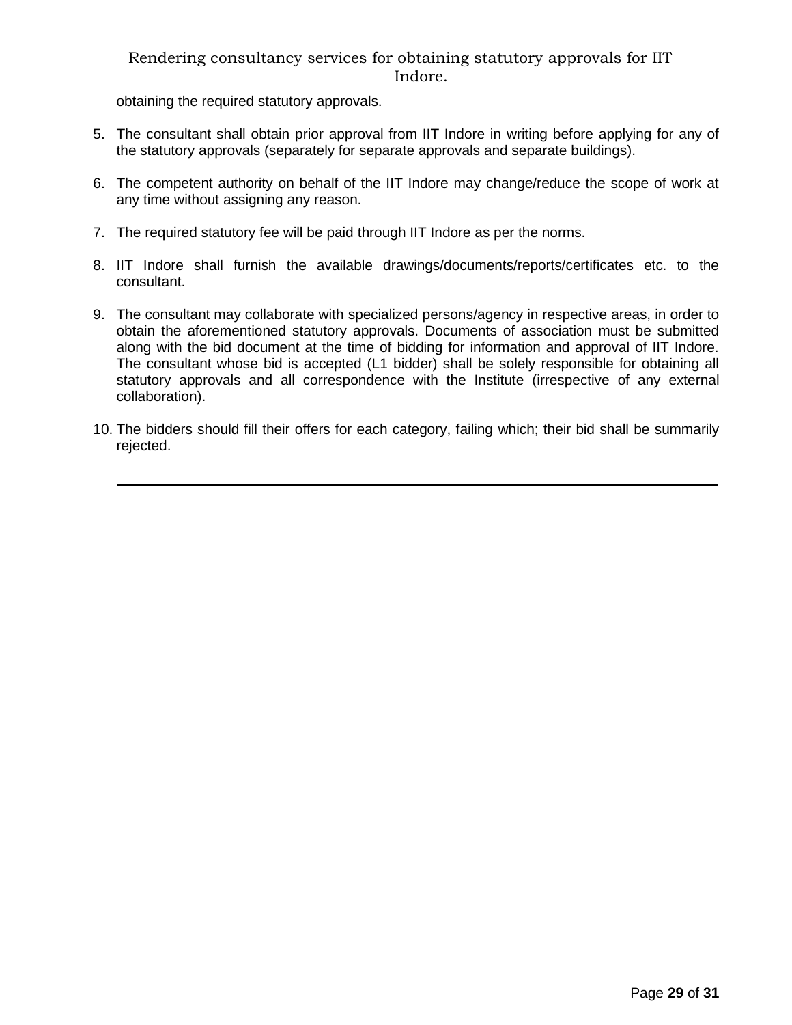obtaining the required statutory approvals.

 $\overline{a}$ 

- 5. The consultant shall obtain prior approval from IIT Indore in writing before applying for any of the statutory approvals (separately for separate approvals and separate buildings).
- 6. The competent authority on behalf of the IIT Indore may change/reduce the scope of work at any time without assigning any reason.
- 7. The required statutory fee will be paid through IIT Indore as per the norms.
- 8. IIT Indore shall furnish the available drawings/documents/reports/certificates etc. to the consultant.
- 9. The consultant may collaborate with specialized persons/agency in respective areas, in order to obtain the aforementioned statutory approvals. Documents of association must be submitted along with the bid document at the time of bidding for information and approval of IIT Indore. The consultant whose bid is accepted (L1 bidder) shall be solely responsible for obtaining all statutory approvals and all correspondence with the Institute (irrespective of any external collaboration).
- 10. The bidders should fill their offers for each category, failing which; their bid shall be summarily rejected.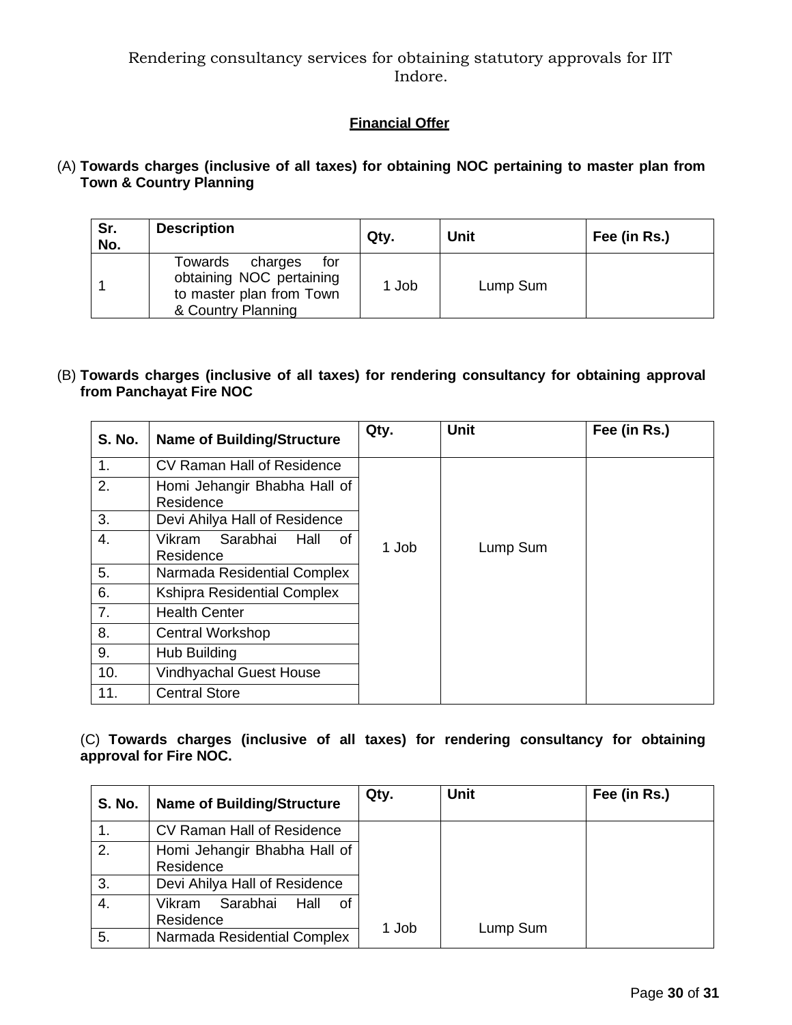# **Financial Offer**

# (A) **Towards charges (inclusive of all taxes) for obtaining NOC pertaining to master plan from Town & Country Planning**

| Sr.<br>No. | <b>Description</b>                                                                                      | Qty.  | <b>Unit</b> | Fee (in Rs.) |
|------------|---------------------------------------------------------------------------------------------------------|-------|-------------|--------------|
|            | Towards<br>for<br>charges<br>obtaining NOC pertaining<br>to master plan from Town<br>& Country Planning | 1 Job | Lump Sum    |              |

#### (B) **Towards charges (inclusive of all taxes) for rendering consultancy for obtaining approval from Panchayat Fire NOC**

| <b>S. No.</b> | <b>Name of Building/Structure</b>             | Qty.  | <b>Unit</b> | Fee (in Rs.) |
|---------------|-----------------------------------------------|-------|-------------|--------------|
| 1.            | CV Raman Hall of Residence                    |       |             |              |
| 2.            | Homi Jehangir Bhabha Hall of<br>Residence     |       |             |              |
| 3.            | Devi Ahilya Hall of Residence                 |       |             |              |
| 4.            | Sarabhai<br>Vikram<br>Hall<br>οf<br>Residence | 1 Job | Lump Sum    |              |
| 5.            | Narmada Residential Complex                   |       |             |              |
| 6.            | <b>Kshipra Residential Complex</b>            |       |             |              |
| 7.            | <b>Health Center</b>                          |       |             |              |
| 8.            | <b>Central Workshop</b>                       |       |             |              |
| 9.            | Hub Building                                  |       |             |              |
| 10.           | <b>Vindhyachal Guest House</b>                |       |             |              |
| 11.           | <b>Central Store</b>                          |       |             |              |

## (C) **Towards charges (inclusive of all taxes) for rendering consultancy for obtaining approval for Fire NOC.**

| <b>S. No.</b>    | <b>Name of Building/Structure</b>              | Qty.  | <b>Unit</b> | Fee (in Rs.) |
|------------------|------------------------------------------------|-------|-------------|--------------|
|                  | CV Raman Hall of Residence                     |       |             |              |
| $\overline{2}$ . | Homi Jehangir Bhabha Hall of<br>Residence      |       |             |              |
| 3.               | Devi Ahilya Hall of Residence                  |       |             |              |
| 4.               | Sarabhai<br>Hall<br>-of<br>Vikram<br>Residence |       |             |              |
| 5.               | Narmada Residential Complex                    | 1 Job | Lump Sum    |              |